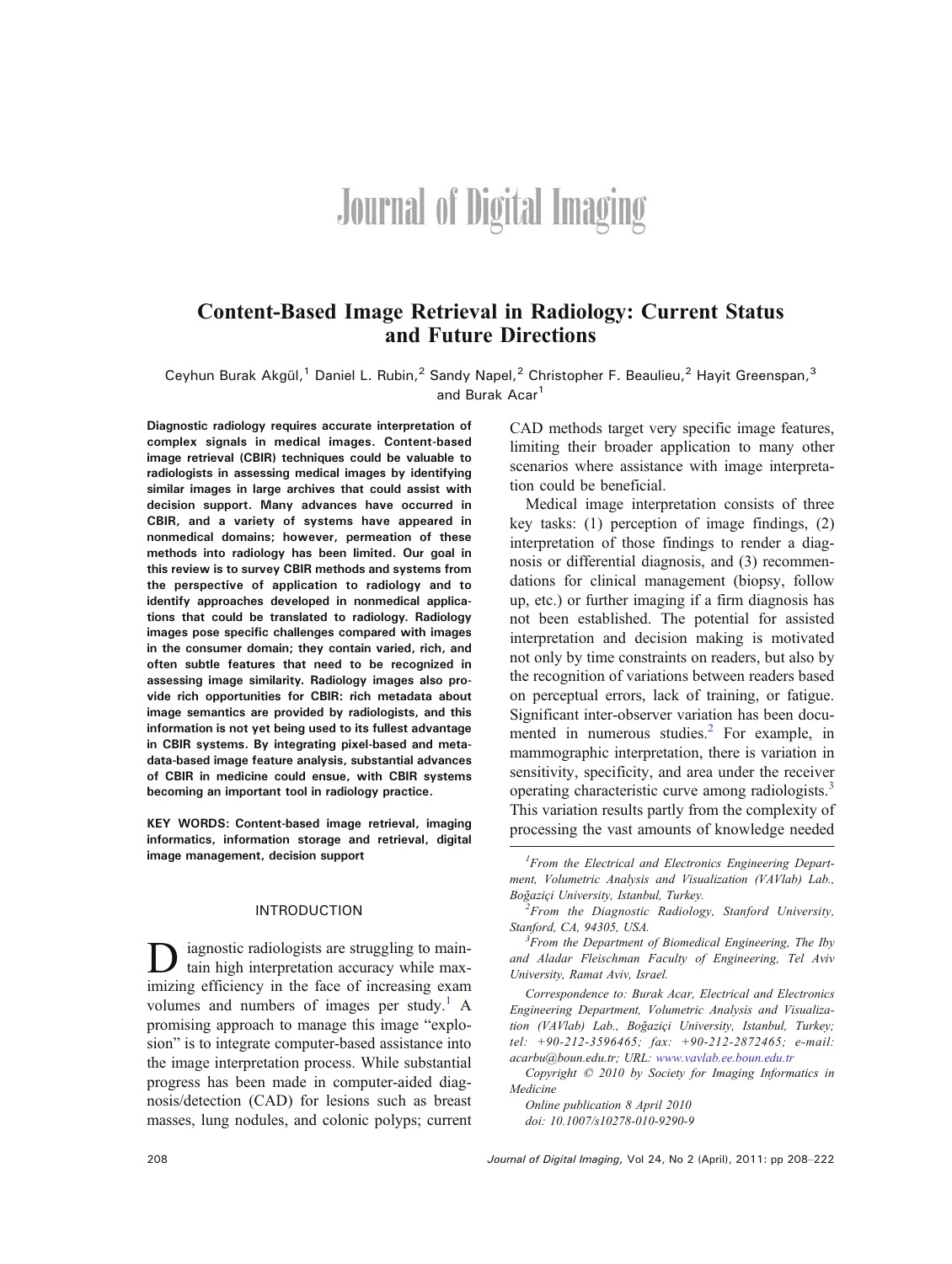# **Journal of Digital Imaging**

## Content-Based Image Retrieval in Radiology: Current Status and Future Directions

Ceyhun Burak Akgül,<sup>1</sup> Daniel L. Rubin,<sup>2</sup> Sandy Napel,<sup>2</sup> Christopher F. Beaulieu,<sup>2</sup> Hayit Greenspan,<sup>3</sup> and Burak Acar<sup>1</sup>

Diagnostic radiology requires accurate interpretation of complex signals in medical images. Content-based image retrieval (CBIR) techniques could be valuable to radiologists in assessing medical images by identifying similar images in large archives that could assist with decision support. Many advances have occurred in CBIR, and a variety of systems have appeared in nonmedical domains; however, permeation of these methods into radiology has been limited. Our goal in this review is to survey CBIR methods and systems from the perspective of application to radiology and to identify approaches developed in nonmedical applications that could be translated to radiology. Radiology images pose specific challenges compared with images in the consumer domain; they contain varied, rich, and often subtle features that need to be recognized in assessing image similarity. Radiology images also provide rich opportunities for CBIR: rich metadata about image semantics are provided by radiologists, and this information is not yet being used to its fullest advantage in CBIR systems. By integrating pixel-based and metadata-based image feature analysis, substantial advances of CBIR in medicine could ensue, with CBIR systems becoming an important tool in radiology practice.

KEY WORDS: Content-based image retrieval, imaging informatics, information storage and retrieval, digital image management, decision support

## INTRODUCTION

iagnostic radiologists are struggling to maintain high interpretation accuracy while maximizing efficiency in the face of increasing exam volumes and numbers of images per study.<sup>[1](#page-12-0)</sup> A promising approach to manage this image "explosion" is to integrate computer-based assistance into the image interpretation process. While substantial progress has been made in computer-aided diagnosis/detection (CAD) for lesions such as breast masses, lung nodules, and colonic polyps; current CAD methods target very specific image features, limiting their broader application to many other scenarios where assistance with image interpretation could be beneficial.

Medical image interpretation consists of three key tasks: (1) perception of image findings, (2) interpretation of those findings to render a diagnosis or differential diagnosis, and (3) recommendations for clinical management (biopsy, follow up, etc.) or further imaging if a firm diagnosis has not been established. The potential for assisted interpretation and decision making is motivated not only by time constraints on readers, but also by the recognition of variations between readers based on perceptual errors, lack of training, or fatigue. Significant inter-observer variation has been docu-mented in numerous studies.<sup>[2](#page-12-0)</sup> For example, in mammographic interpretation, there is variation in sensitivity, specificity, and area under the receiver operating characteristic curve among radiologists.<sup>[3](#page-12-0)</sup> This variation results partly from the complexity of processing the vast amounts of knowledge needed

Correspondence to: Burak Acar, Electrical and Electronics Engineering Department, Volumetric Analysis and Visualization (VAVlab) Lab., Boğaziçi University, Istanbul, Turkey; tel: +90-212-3596465; fax: +90-212-2872465; e-mail: acarbu@boun.edu.tr; URL: [www.vavlab.ee.boun.edu.tr](http://www.vavlab.ee.boun.edu.tr)

Copyright  $O$  2010 by Society for Imaging Informatics in Medicine

Online publication 8 April 2010 doi: 10.1007/s10278-010-9290-9

<sup>&</sup>lt;sup>1</sup> From the Electrical and Electronics Engineering Department, Volumetric Analysis and Visualization (VAVlab) Lab., Boğaziçi University, Istanbul, Turkey.

<sup>&</sup>lt;sup>2</sup> From the Diagnostic Radiology, Stanford University, Stanford, CA, 94305, USA.

 ${}^{3}$ From the Department of Biomedical Engineering, The Iby and Aladar Fleischman Faculty of Engineering, Tel Aviv University, Ramat Aviv, Israel.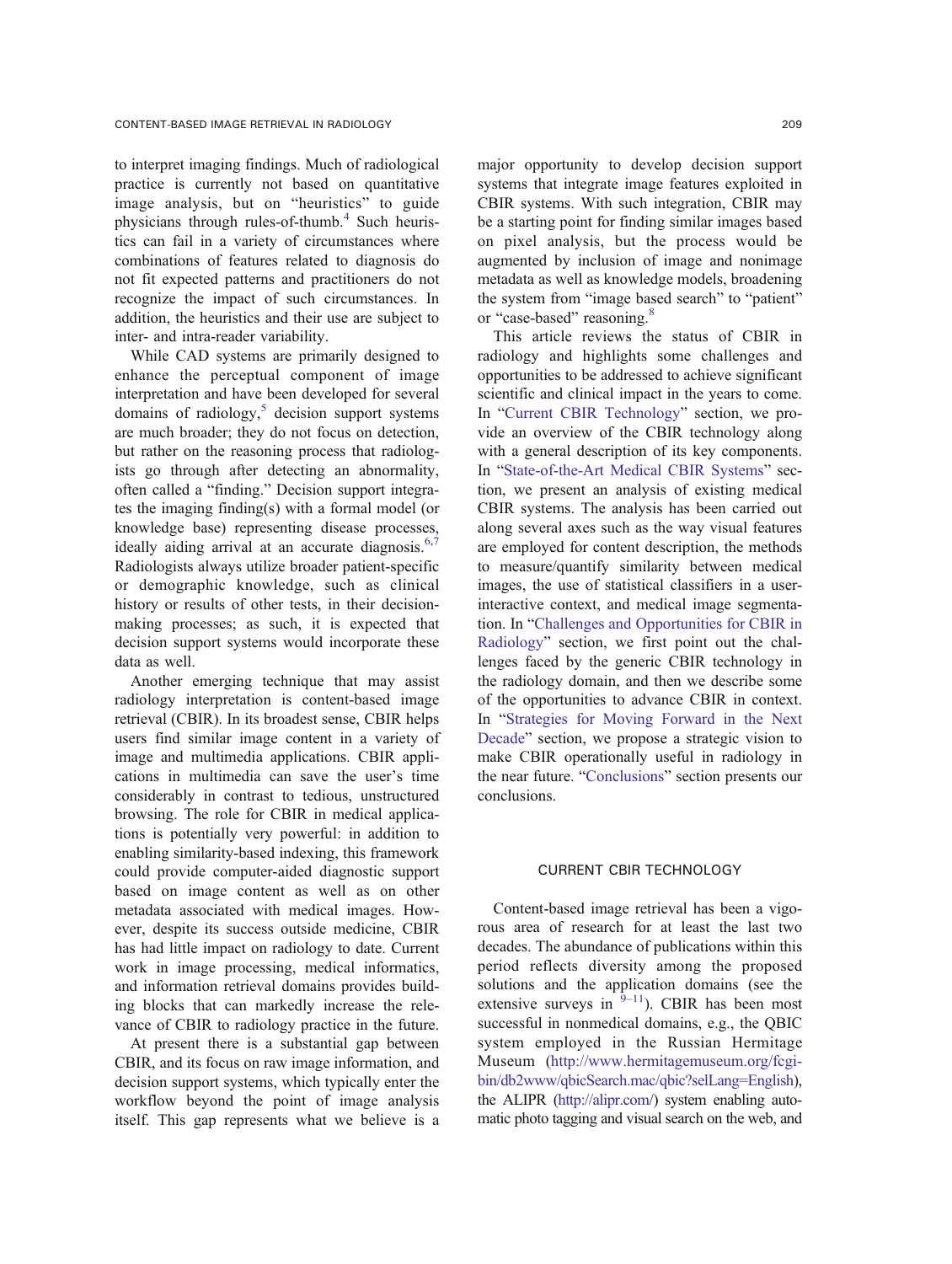<span id="page-1-0"></span>to interpret imaging findings. Much of radiological practice is currently not based on quantitative image analysis, but on "heuristics" to guide physicians through rules-of-thumb.<sup>[4](#page-12-0)</sup> Such heuristics can fail in a variety of circumstances where combinations of features related to diagnosis do not fit expected patterns and practitioners do not recognize the impact of such circumstances. In addition, the heuristics and their use are subject to inter- and intra-reader variability.

While CAD systems are primarily designed to enhance the perceptual component of image interpretation and have been developed for several domains of radiology, $5$  decision support systems are much broader; they do not focus on detection, but rather on the reasoning process that radiologists go through after detecting an abnormality, often called a "finding." Decision support integrates the imaging finding(s) with a formal model (or knowledge base) representing disease processes, ideally aiding arrival at an accurate diagnosis. $6,7$ Radiologists always utilize broader patient-specific or demographic knowledge, such as clinical history or results of other tests, in their decisionmaking processes; as such, it is expected that decision support systems would incorporate these data as well.

Another emerging technique that may assist radiology interpretation is content-based image retrieval (CBIR). In its broadest sense, CBIR helps users find similar image content in a variety of image and multimedia applications. CBIR applications in multimedia can save the user's time considerably in contrast to tedious, unstructured browsing. The role for CBIR in medical applications is potentially very powerful: in addition to enabling similarity-based indexing, this framework could provide computer-aided diagnostic support based on image content as well as on other metadata associated with medical images. However, despite its success outside medicine, CBIR has had little impact on radiology to date. Current work in image processing, medical informatics, and information retrieval domains provides building blocks that can markedly increase the relevance of CBIR to radiology practice in the future.

At present there is a substantial gap between CBIR, and its focus on raw image information, and decision support systems, which typically enter the workflow beyond the point of image analysis itself. This gap represents what we believe is a major opportunity to develop decision support systems that integrate image features exploited in CBIR systems. With such integration, CBIR may be a starting point for finding similar images based on pixel analysis, but the process would be augmented by inclusion of image and nonimage metadata as well as knowledge models, broadening the system from "image based search" to "patient" or "case-based" reasoning.<sup>[8](#page-12-0)</sup>

This article reviews the status of CBIR in radiology and highlights some challenges and opportunities to be addressed to achieve significant scientific and clinical impact in the years to come. In "Current CBIR Technology" section, we provide an overview of the CBIR technology along with a general description of its key components. In "[State-of-the-Art Medical CBIR Systems](#page-5-0)" section, we present an analysis of existing medical CBIR systems. The analysis has been carried out along several axes such as the way visual features are employed for content description, the methods to measure/quantify similarity between medical images, the use of statistical classifiers in a userinteractive context, and medical image segmentation. In "[Challenges and Opportunities for CBIR in](#page-8-0) [Radiology](#page-8-0)" section, we first point out the challenges faced by the generic CBIR technology in the radiology domain, and then we describe some of the opportunities to advance CBIR in context. In "[Strategies for Moving Forward in the Next](#page-10-0) [Decade](#page-10-0)" section, we propose a strategic vision to make CBIR operationally useful in radiology in the near future. "[Conclusions](#page-11-0)" section presents our conclusions.

## CURRENT CBIR TECHNOLOGY

Content-based image retrieval has been a vigorous area of research for at least the last two decades. The abundance of publications within this period reflects diversity among the proposed solutions and the application domains (see the extensive surveys in  $^{1}$ <sup>[9](#page-12-0)–[11](#page-12-0)</sup>). CBIR has been most successful in nonmedical domains, e.g., the QBIC system employed in the Russian Hermitage Museum ([http://www.hermitagemuseum.org/fcgi](http://www.hermitagemuseum.org/fcgi-bin/db2www/qbicSearch.mac/qbic?selLang=English)[bin/db2www/qbicSearch.mac/qbic?selLang=English\)](http://www.hermitagemuseum.org/fcgi-bin/db2www/qbicSearch.mac/qbic?selLang=English), the ALIPR [\(http://alipr.com](http://alipr.com)/) system enabling automatic photo tagging and visual search on the web, and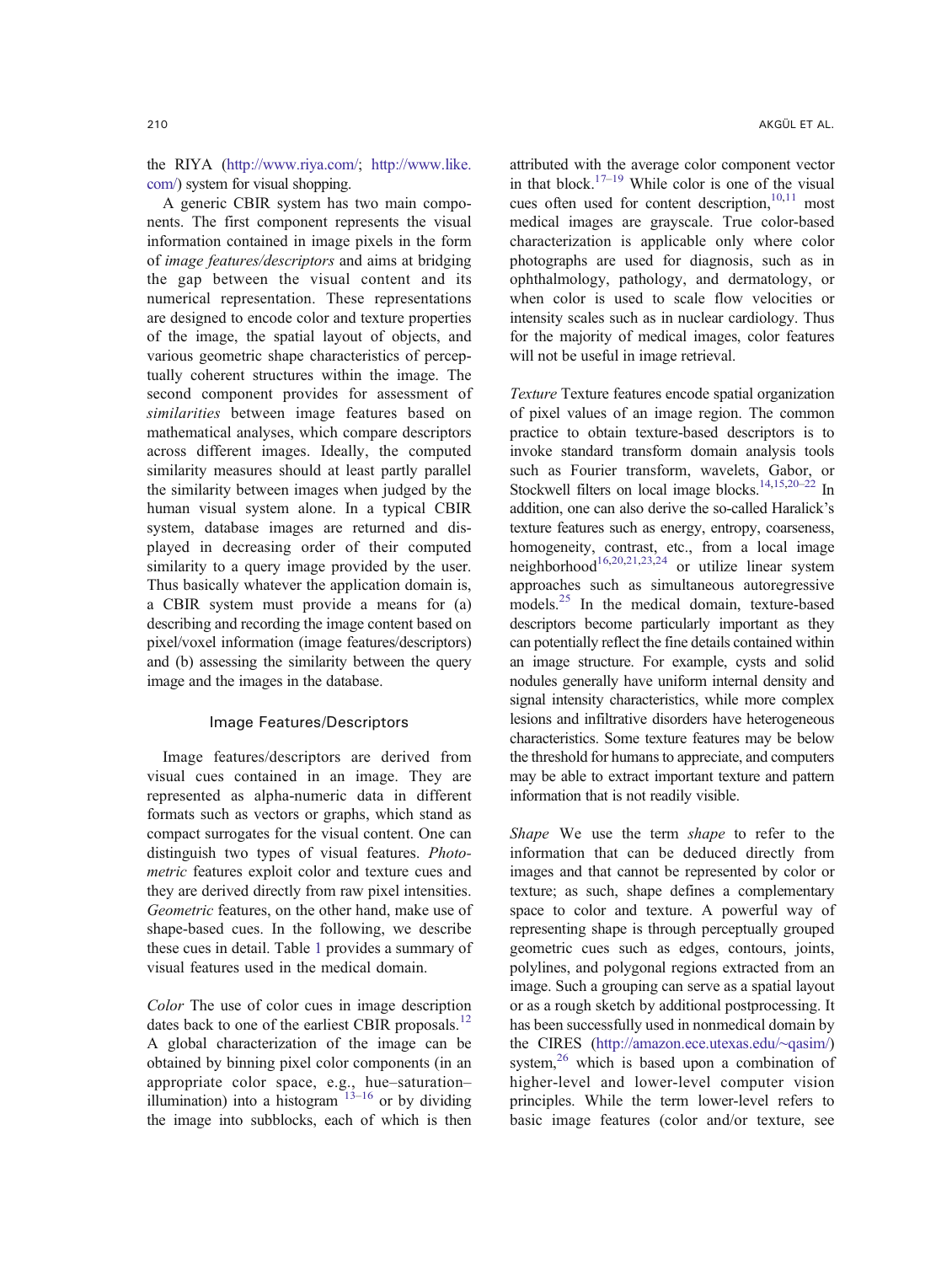the RIYA (<http://www.riya.com/>; [http://www.like.](http://www.like.com/) [com/\)](http://www.like.com/) system for visual shopping.

A generic CBIR system has two main components. The first component represents the visual information contained in image pixels in the form of image features/descriptors and aims at bridging the gap between the visual content and its numerical representation. These representations are designed to encode color and texture properties of the image, the spatial layout of objects, and various geometric shape characteristics of perceptually coherent structures within the image. The second component provides for assessment of similarities between image features based on mathematical analyses, which compare descriptors across different images. Ideally, the computed similarity measures should at least partly parallel the similarity between images when judged by the human visual system alone. In a typical CBIR system, database images are returned and displayed in decreasing order of their computed similarity to a query image provided by the user. Thus basically whatever the application domain is, a CBIR system must provide a means for (a) describing and recording the image content based on pixel/voxel information (image features/descriptors) and (b) assessing the similarity between the query image and the images in the database.

## Image Features/Descriptors

Image features/descriptors are derived from visual cues contained in an image. They are represented as alpha-numeric data in different formats such as vectors or graphs, which stand as compact surrogates for the visual content. One can distinguish two types of visual features. Photometric features exploit color and texture cues and they are derived directly from raw pixel intensities. Geometric features, on the other hand, make use of shape-based cues. In the following, we describe these cues in detail. Table [1](#page-3-0) provides a summary of visual features used in the medical domain.

Color The use of color cues in image description dates back to one of the earliest CBIR proposals.<sup>[12](#page-12-0)</sup> A global characterization of the image can be obtained by binning pixel color components (in an appropriate color space, e.g., hue–saturation– illumination) into a histogram  $13-16$  $13-16$  $13-16$  or by dividing the image into subblocks, each of which is then

attributed with the average color component vector in that block.<sup>17–[19](#page-12-0)</sup> While color is one of the visual cues often used for content description, $10,11$  most medical images are grayscale. True color-based characterization is applicable only where color photographs are used for diagnosis, such as in ophthalmology, pathology, and dermatology, or when color is used to scale flow velocities or intensity scales such as in nuclear cardiology. Thus for the majority of medical images, color features will not be useful in image retrieval.

Texture Texture features encode spatial organization of pixel values of an image region. The common practice to obtain texture-based descriptors is to invoke standard transform domain analysis tools such as Fourier transform, wavelets, Gabor, or Stockwell filters on local image blocks.<sup>14,15,[20](#page-12-0)–[22](#page-12-0)</sup> In addition, one can also derive the so-called Haralick's texture features such as energy, entropy, coarseness, homogeneity, contrast, etc., from a local image neighborhood<sup>[16,20](#page-12-0),[21,23,24](#page-12-0)</sup> or utilize linear system approaches such as simultaneous autoregressive models.[25](#page-13-0) In the medical domain, texture-based descriptors become particularly important as they can potentially reflect the fine details contained within an image structure. For example, cysts and solid nodules generally have uniform internal density and signal intensity characteristics, while more complex lesions and infiltrative disorders have heterogeneous characteristics. Some texture features may be below the threshold for humans to appreciate, and computers may be able to extract important texture and pattern information that is not readily visible.

Shape We use the term shape to refer to the information that can be deduced directly from images and that cannot be represented by color or texture; as such, shape defines a complementary space to color and texture. A powerful way of representing shape is through perceptually grouped geometric cues such as edges, contours, joints, polylines, and polygonal regions extracted from an image. Such a grouping can serve as a spatial layout or as a rough sketch by additional postprocessing. It has been successfully used in nonmedical domain by the CIRES [\(http://amazon.ece.utexas.edu/](http://amazon.ece.utexas.edu/~qasim/)∼qasim/) system,<sup>26</sup> which is based upon a combination of higher-level and lower-level computer vision principles. While the term lower-level refers to basic image features (color and/or texture, see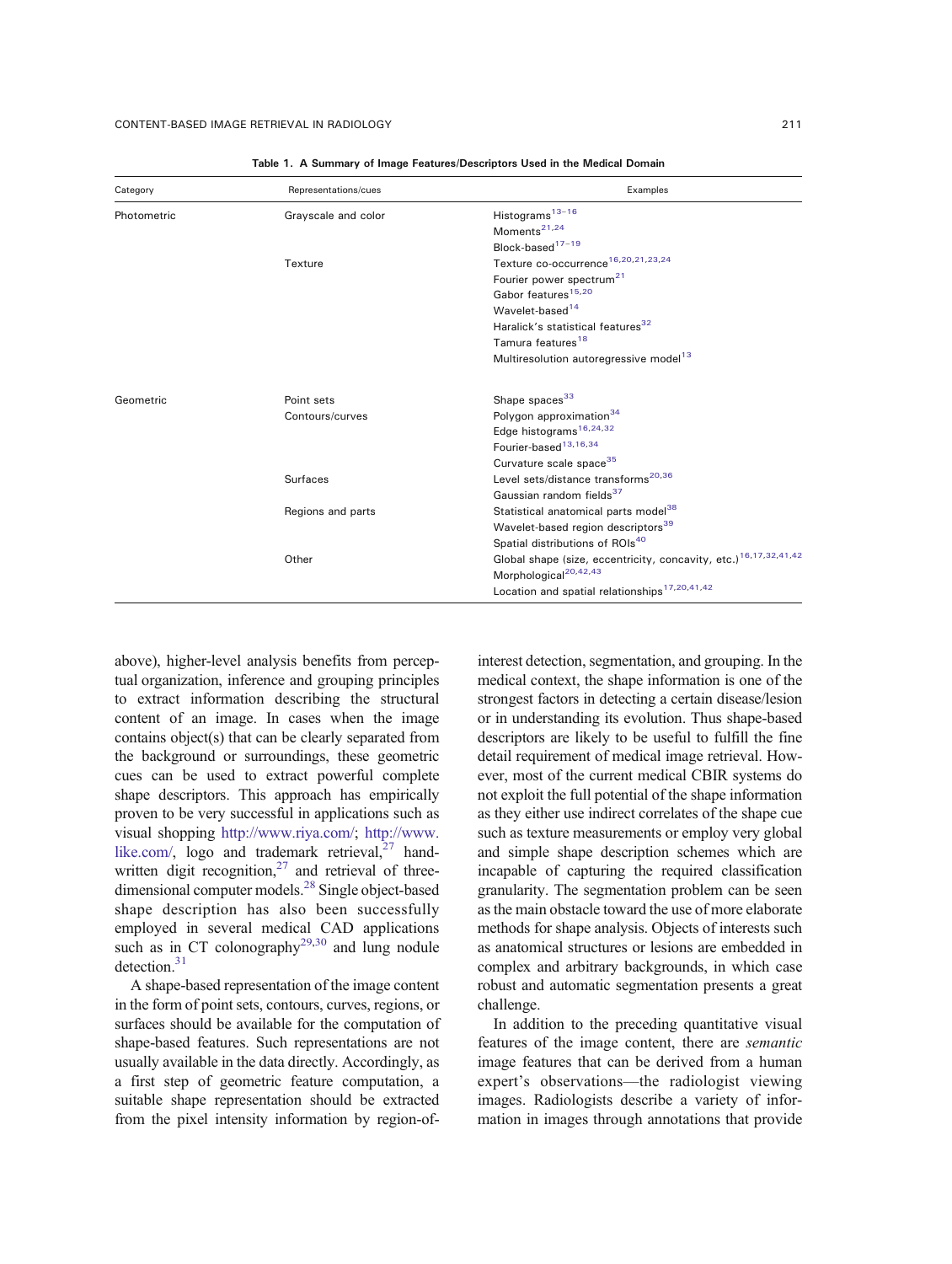<span id="page-3-0"></span>

| Category    | Representations/cues | Examples                                                                     |
|-------------|----------------------|------------------------------------------------------------------------------|
| Photometric | Grayscale and color  | Histograms <sup>13-16</sup>                                                  |
|             |                      | Moments <sup>21,24</sup>                                                     |
|             |                      | Block-based <sup>17-19</sup>                                                 |
|             | Texture              | Texture co-occurrence <sup>16,20,21,23,24</sup>                              |
|             |                      | Fourier power spectrum <sup>21</sup>                                         |
|             |                      | Gabor features <sup>15,20</sup>                                              |
|             |                      | Wavelet-based <sup>14</sup>                                                  |
|             |                      | Haralick's statistical features <sup>32</sup>                                |
|             |                      | Tamura features <sup>18</sup>                                                |
|             |                      | Multiresolution autoregressive model <sup>13</sup>                           |
| Geometric   | Point sets           | Shape spaces <sup>33</sup>                                                   |
|             | Contours/curves      | Polygon approximation <sup>34</sup>                                          |
|             |                      | Edge histograms <sup>16,24,32</sup>                                          |
|             |                      | Fourier-based <sup>13,16,34</sup>                                            |
|             |                      | Curvature scale space <sup>35</sup>                                          |
|             | <b>Surfaces</b>      | Level sets/distance transforms <sup>20,36</sup>                              |
|             |                      | Gaussian random fields <sup>37</sup>                                         |
|             | Regions and parts    | Statistical anatomical parts model <sup>38</sup>                             |
|             |                      | Wavelet-based region descriptors <sup>39</sup>                               |
|             |                      | Spatial distributions of ROIs <sup>40</sup>                                  |
|             | Other                | Global shape (size, eccentricity, concavity, etc.) <sup>16,17,32,41,42</sup> |
|             |                      | Morphological <sup>20,42,43</sup>                                            |
|             |                      | Location and spatial relationships <sup>17,20,41,42</sup>                    |

Table 1. A Summary of Image Features/Descriptors Used in the Medical Domain

above), higher-level analysis benefits from perceptual organization, inference and grouping principles to extract information describing the structural content of an image. In cases when the image contains object(s) that can be clearly separated from the background or surroundings, these geometric cues can be used to extract powerful complete shape descriptors. This approach has empirically proven to be very successful in applications such as visual shopping [http://www.riya.com/;](http://www.riya.com/) [http://www.](http://www.like.com/) [like.com/,](http://www.like.com/) logo and trademark retrieval, $27$  handwritten digit recognition, $27$  and retrieval of threedimensional computer models[.28](#page-13-0) Single object-based shape description has also been successfully employed in several medical CAD applications such as in CT colonography<sup>29,30</sup> and lung nodule detection.<sup>[31](#page-13-0)</sup>

A shape-based representation of the image content in the form of point sets, contours, curves, regions, or surfaces should be available for the computation of shape-based features. Such representations are not usually available in the data directly. Accordingly, as a first step of geometric feature computation, a suitable shape representation should be extracted from the pixel intensity information by region-ofinterest detection, segmentation, and grouping. In the medical context, the shape information is one of the strongest factors in detecting a certain disease/lesion or in understanding its evolution. Thus shape-based descriptors are likely to be useful to fulfill the fine detail requirement of medical image retrieval. However, most of the current medical CBIR systems do not exploit the full potential of the shape information as they either use indirect correlates of the shape cue such as texture measurements or employ very global and simple shape description schemes which are incapable of capturing the required classification granularity. The segmentation problem can be seen as the main obstacle toward the use of more elaborate methods for shape analysis. Objects of interests such as anatomical structures or lesions are embedded in complex and arbitrary backgrounds, in which case robust and automatic segmentation presents a great challenge.

In addition to the preceding quantitative visual features of the image content, there are semantic image features that can be derived from a human expert's observations—the radiologist viewing images. Radiologists describe a variety of information in images through annotations that provide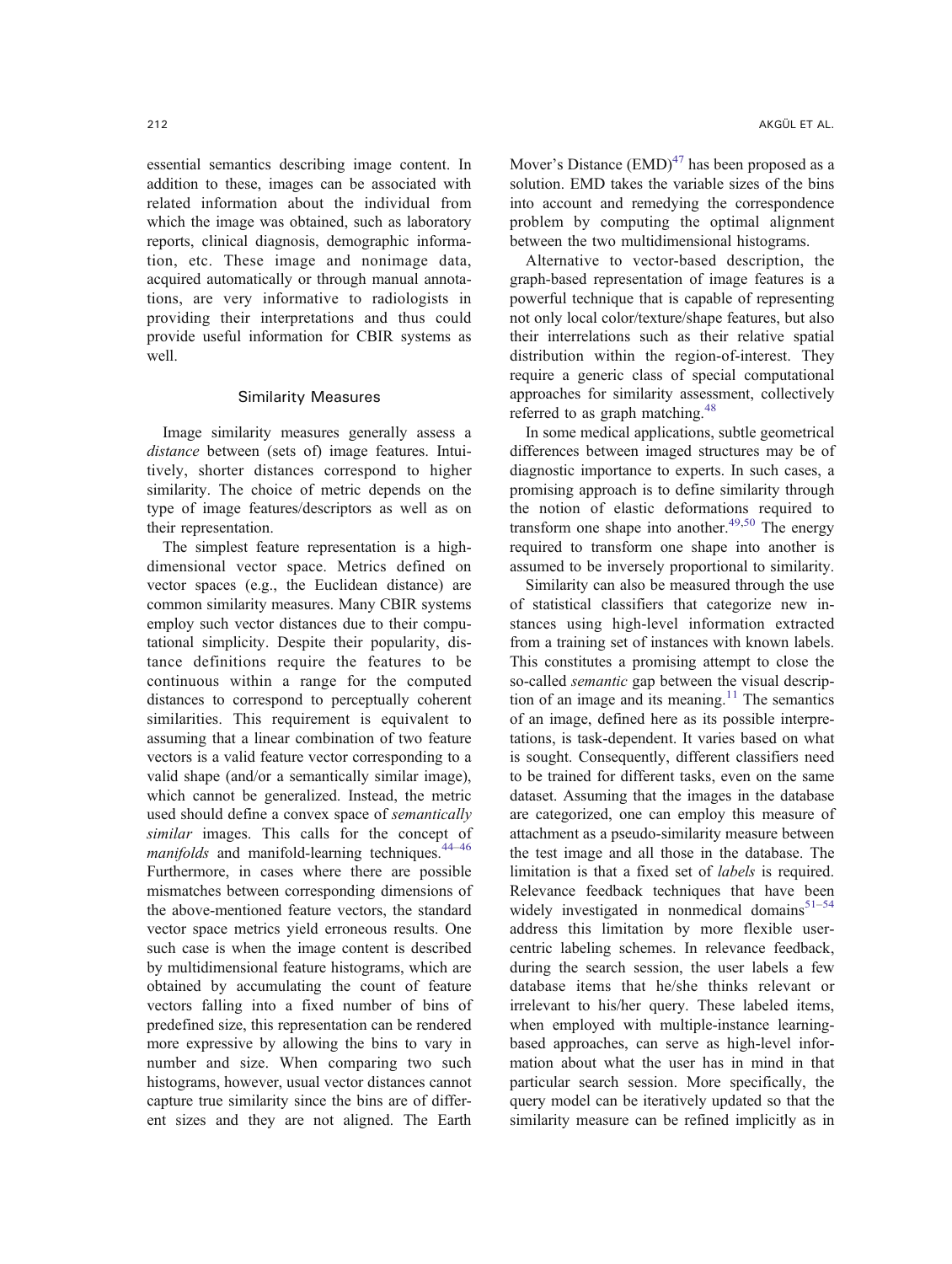essential semantics describing image content. In addition to these, images can be associated with related information about the individual from which the image was obtained, such as laboratory reports, clinical diagnosis, demographic information, etc. These image and nonimage data, acquired automatically or through manual annotations, are very informative to radiologists in providing their interpretations and thus could provide useful information for CBIR systems as well.

## Similarity Measures

Image similarity measures generally assess a distance between (sets of) image features. Intuitively, shorter distances correspond to higher similarity. The choice of metric depends on the type of image features/descriptors as well as on their representation.

The simplest feature representation is a highdimensional vector space. Metrics defined on vector spaces (e.g., the Euclidean distance) are common similarity measures. Many CBIR systems employ such vector distances due to their computational simplicity. Despite their popularity, distance definitions require the features to be continuous within a range for the computed distances to correspond to perceptually coherent similarities. This requirement is equivalent to assuming that a linear combination of two feature vectors is a valid feature vector corresponding to a valid shape (and/or a semantically similar image), which cannot be generalized. Instead, the metric used should define a convex space of semantically similar images. This calls for the concept of *manifolds* and manifold-learning techniques.  $44-46$  $44-46$  $44-46$ Furthermore, in cases where there are possible mismatches between corresponding dimensions of the above-mentioned feature vectors, the standard vector space metrics yield erroneous results. One such case is when the image content is described by multidimensional feature histograms, which are obtained by accumulating the count of feature vectors falling into a fixed number of bins of predefined size, this representation can be rendered more expressive by allowing the bins to vary in number and size. When comparing two such histograms, however, usual vector distances cannot capture true similarity since the bins are of different sizes and they are not aligned. The Earth

Mover's Distance  $(EMD)^{47}$  $(EMD)^{47}$  $(EMD)^{47}$  has been proposed as a solution. EMD takes the variable sizes of the bins into account and remedying the correspondence problem by computing the optimal alignment between the two multidimensional histograms.

Alternative to vector-based description, the graph-based representation of image features is a powerful technique that is capable of representing not only local color/texture/shape features, but also their interrelations such as their relative spatial distribution within the region-of-interest. They require a generic class of special computational approaches for similarity assessment, collectively referred to as graph matching.<sup>[48](#page-13-0)</sup>

In some medical applications, subtle geometrical differences between imaged structures may be of diagnostic importance to experts. In such cases, a promising approach is to define similarity through the notion of elastic deformations required to transform one shape into another.<sup>[49,50](#page-13-0)</sup> The energy required to transform one shape into another is assumed to be inversely proportional to similarity.

Similarity can also be measured through the use of statistical classifiers that categorize new instances using high-level information extracted from a training set of instances with known labels. This constitutes a promising attempt to close the so-called semantic gap between the visual descrip-tion of an image and its meaning.<sup>[11](#page-12-0)</sup> The semantics of an image, defined here as its possible interpretations, is task-dependent. It varies based on what is sought. Consequently, different classifiers need to be trained for different tasks, even on the same dataset. Assuming that the images in the database are categorized, one can employ this measure of attachment as a pseudo-similarity measure between the test image and all those in the database. The limitation is that a fixed set of labels is required. Relevance feedback techniques that have been widely investigated in nonmedical domains $51-54$  $51-54$  $51-54$ address this limitation by more flexible usercentric labeling schemes. In relevance feedback, during the search session, the user labels a few database items that he/she thinks relevant or irrelevant to his/her query. These labeled items, when employed with multiple-instance learningbased approaches, can serve as high-level information about what the user has in mind in that particular search session. More specifically, the query model can be iteratively updated so that the similarity measure can be refined implicitly as in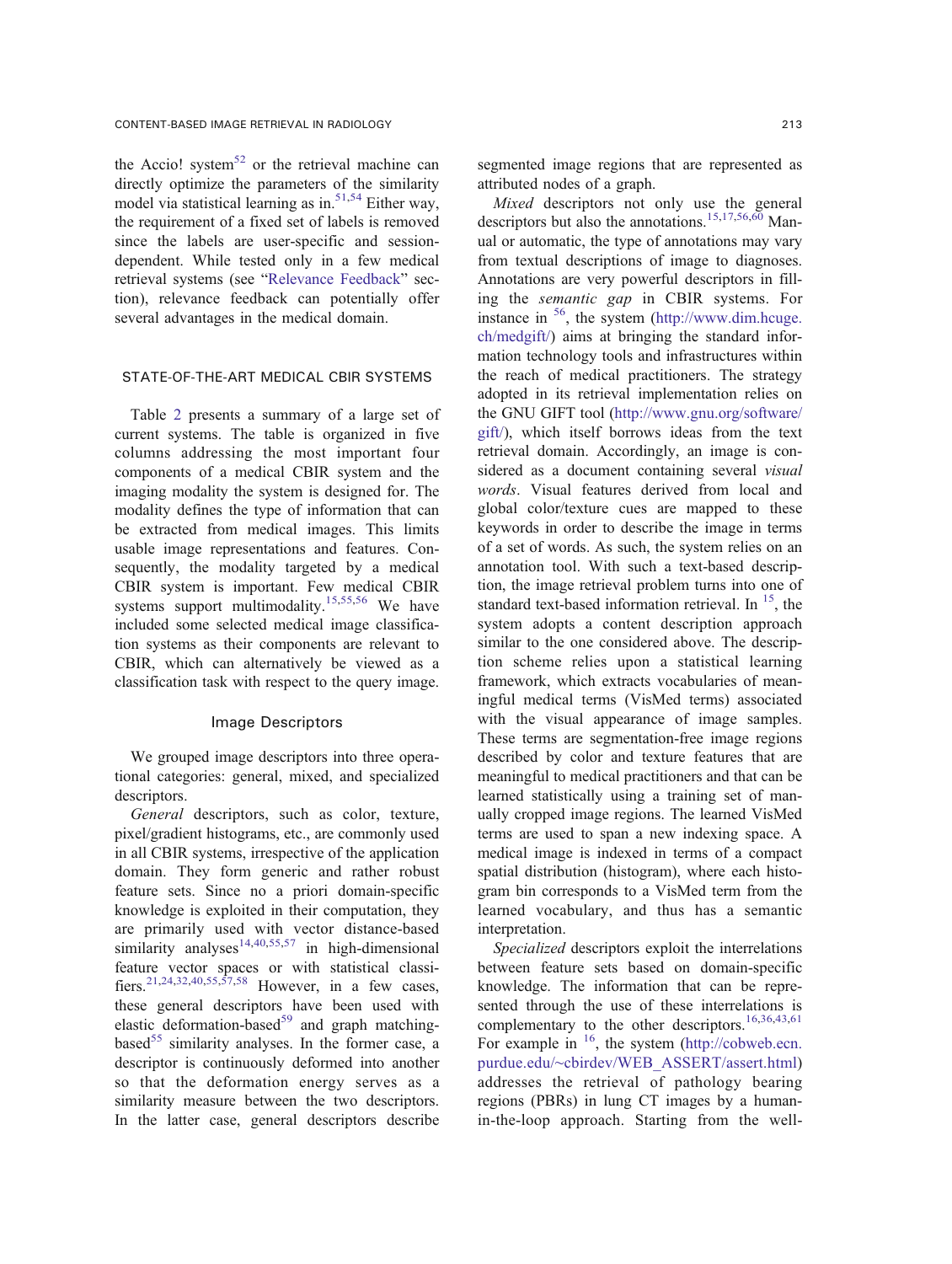<span id="page-5-0"></span>the Accio! system<sup>[52](#page-13-0)</sup> or the retrieval machine can directly optimize the parameters of the similarity model via statistical learning as in.<sup>[51,54](#page-13-0)</sup> Either way, the requirement of a fixed set of labels is removed since the labels are user-specific and sessiondependent. While tested only in a few medical retrieval systems (see "[Relevance Feedback](#page-8-0)" section), relevance feedback can potentially offer several advantages in the medical domain.

## STATE-OF-THE-ART MEDICAL CBIR SYSTEMS

Table [2](#page-6-0) presents a summary of a large set of current systems. The table is organized in five columns addressing the most important four components of a medical CBIR system and the imaging modality the system is designed for. The modality defines the type of information that can be extracted from medical images. This limits usable image representations and features. Consequently, the modality targeted by a medical CBIR system is important. Few medical CBIR systems support multimodality.<sup>[15](#page-12-0)[,55,56](#page-13-0)</sup> We have included some selected medical image classification systems as their components are relevant to CBIR, which can alternatively be viewed as a classification task with respect to the query image.

## Image Descriptors

We grouped image descriptors into three operational categories: general, mixed, and specialized descriptors.

General descriptors, such as color, texture, pixel/gradient histograms, etc., are commonly used in all CBIR systems, irrespective of the application domain. They form generic and rather robust feature sets. Since no a priori domain-specific knowledge is exploited in their computation, they are primarily used with vector distance-based similarity analyses<sup>[14,](#page-12-0)[40,55,57](#page-13-0)</sup> in high-dimensional feature vector spaces or with statistical classi-fiers.<sup>[21](#page-12-0),[24](#page-12-0)[,32,40](#page-13-0),[55,57,58](#page-13-0)</sup> However, in a few cases, these general descriptors have been used with elastic deformation-based<sup>[59](#page-13-0)</sup> and graph matching-based<sup>[55](#page-13-0)</sup> similarity analyses. In the former case, a descriptor is continuously deformed into another so that the deformation energy serves as a similarity measure between the two descriptors. In the latter case, general descriptors describe segmented image regions that are represented as attributed nodes of a graph.

Mixed descriptors not only use the general descriptors but also the annotations.<sup>[15,17](#page-12-0)[,56,60](#page-13-0)</sup> Manual or automatic, the type of annotations may vary from textual descriptions of image to diagnoses. Annotations are very powerful descriptors in filling the semantic gap in CBIR systems. For instance in [56,](#page-13-0) the system ([http://www.dim.hcuge.](http://www.dim.hcuge.ch/medgift/) [ch/medgift/](http://www.dim.hcuge.ch/medgift/)) aims at bringing the standard information technology tools and infrastructures within the reach of medical practitioners. The strategy adopted in its retrieval implementation relies on the GNU GIFT tool ([http://www.gnu.org/software/](http://www.gnu.org/software/gift/) [gift/](http://www.gnu.org/software/gift/)), which itself borrows ideas from the text retrieval domain. Accordingly, an image is considered as a document containing several visual words. Visual features derived from local and global color/texture cues are mapped to these keywords in order to describe the image in terms of a set of words. As such, the system relies on an annotation tool. With such a text-based description, the image retrieval problem turns into one of standard text-based information retrieval. In  $^{15}$ , the system adopts a content description approach similar to the one considered above. The description scheme relies upon a statistical learning framework, which extracts vocabularies of meaningful medical terms (VisMed terms) associated with the visual appearance of image samples. These terms are segmentation-free image regions described by color and texture features that are meaningful to medical practitioners and that can be learned statistically using a training set of manually cropped image regions. The learned VisMed terms are used to span a new indexing space. A medical image is indexed in terms of a compact spatial distribution (histogram), where each histogram bin corresponds to a VisMed term from the learned vocabulary, and thus has a semantic interpretation.

Specialized descriptors exploit the interrelations between feature sets based on domain-specific knowledge. The information that can be represented through the use of these interrelations is complementary to the other descriptors.<sup>[16](#page-12-0),[36,43,61](#page-13-0)</sup> For example in  $16$ , the system [\(http://cobweb.ecn.](http://cobweb.ecn.purdue.edu/~cbirdev/WEB_ASSERT/assert.html) purdue.edu/∼[cbirdev/WEB\\_ASSERT/assert.html\)](http://cobweb.ecn.purdue.edu/~cbirdev/WEB_ASSERT/assert.html) addresses the retrieval of pathology bearing regions (PBRs) in lung CT images by a humanin-the-loop approach. Starting from the well-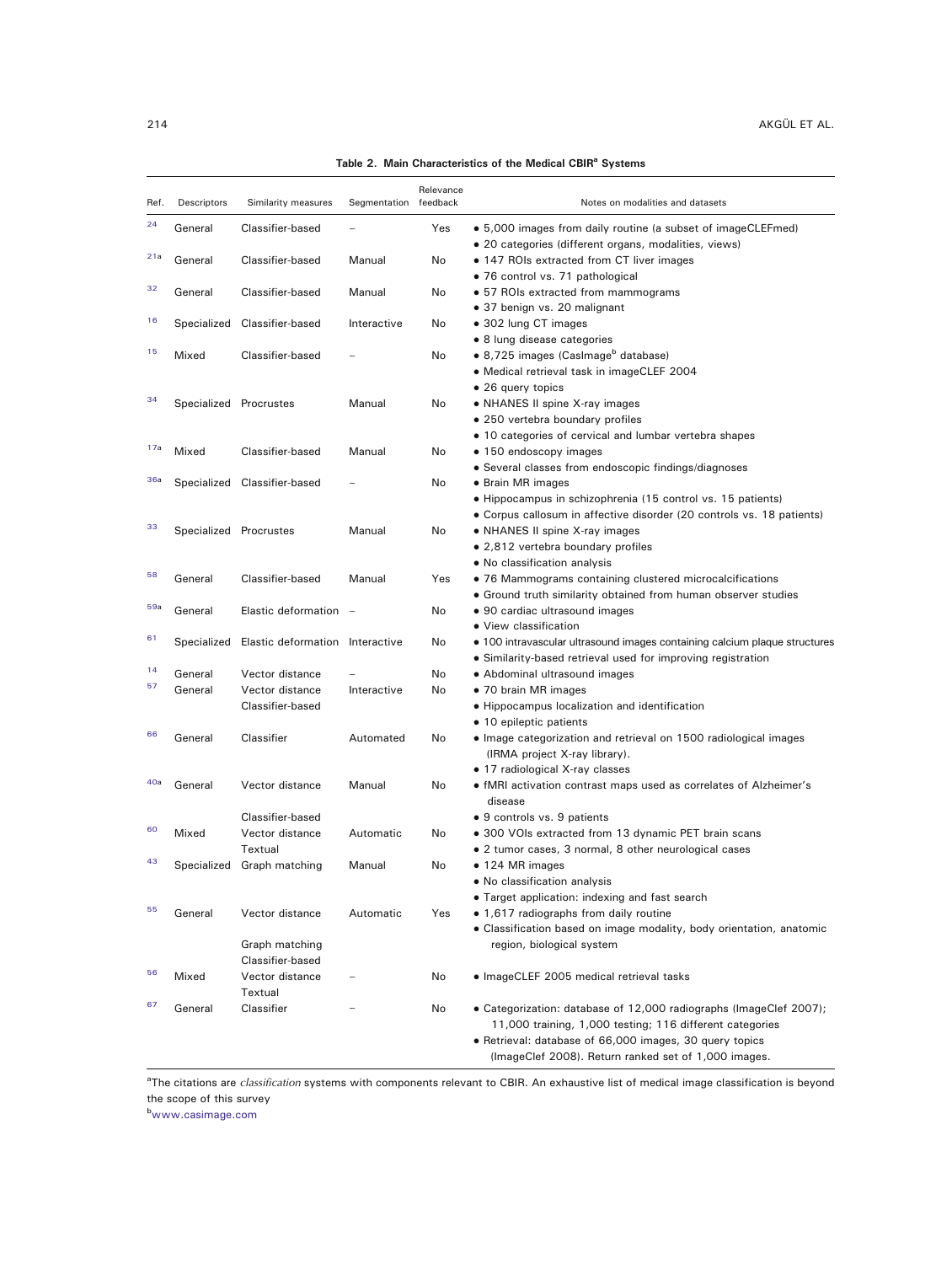<span id="page-6-0"></span>

| Ref. | Descriptors | Similarity measures                                   | Segmentation feedback | Relevance | Notes on modalities and datasets                                                                                                                                                          |
|------|-------------|-------------------------------------------------------|-----------------------|-----------|-------------------------------------------------------------------------------------------------------------------------------------------------------------------------------------------|
| 24   | General     | Classifier-based                                      |                       | Yes       | • 5,000 images from daily routine (a subset of imageCLEFmed)<br>· 20 categories (different organs, modalities, views)                                                                     |
| 21a  | General     | Classifier-based                                      | Manual                | No        | • 147 ROIs extracted from CT liver images                                                                                                                                                 |
| 32   | General     | Classifier-based                                      | Manual                | No        | • 76 control vs. 71 pathological<br>• 57 ROIs extracted from mammograms                                                                                                                   |
| 16   |             | Specialized Classifier-based                          | Interactive           | No        | • 37 benign vs. 20 malignant<br>• 302 lung CT images                                                                                                                                      |
| 15   | Mixed       | Classifier-based                                      |                       | No        | • 8 lung disease categories<br>• 8,725 images (Casimage <sup>b</sup> database)<br>• Medical retrieval task in imageCLEF 2004<br>• 26 query topics                                         |
| 34   |             | Specialized Procrustes                                | Manual                | No        | • NHANES II spine X-ray images<br>• 250 vertebra boundary profiles<br>• 10 categories of cervical and lumbar vertebra shapes                                                              |
| 17a  | Mixed       | Classifier-based                                      | Manual                | No        | • 150 endoscopy images<br>· Several classes from endoscopic findings/diagnoses                                                                                                            |
| 36a  |             | Specialized Classifier-based                          |                       | No        | • Brain MR images<br>• Hippocampus in schizophrenia (15 control vs. 15 patients)<br>• Corpus callosum in affective disorder (20 controls vs. 18 patients)                                 |
| 33   |             | Specialized Procrustes                                | Manual                | No        | • NHANES II spine X-ray images<br>• 2,812 vertebra boundary profiles<br>• No classification analysis                                                                                      |
| 58   | General     | Classifier-based                                      | Manual                | Yes       | • 76 Mammograms containing clustered microcalcifications<br>• Ground truth similarity obtained from human observer studies                                                                |
| 59a  | General     | Elastic deformation -                                 |                       | No        | · 90 cardiac ultrasound images<br>• View classification                                                                                                                                   |
| 61   |             | Specialized Elastic deformation Interactive           |                       | No        | • 100 intravascular ultrasound images containing calcium plaque structures<br>• Similarity-based retrieval used for improving registration                                                |
| 14   | General     | Vector distance                                       |                       | No        | • Abdominal ultrasound images                                                                                                                                                             |
| 57   | General     | Vector distance<br>Classifier-based                   | Interactive           | <b>No</b> | • 70 brain MR images<br>• Hippocampus localization and identification                                                                                                                     |
| 66   | General     | Classifier                                            | Automated             | No        | • 10 epileptic patients<br>• Image categorization and retrieval on 1500 radiological images<br>(IRMA project X-ray library).<br>• 17 radiological X-ray classes                           |
| 40a  | General     | Vector distance                                       | Manual                | No        | • fMRI activation contrast maps used as correlates of Alzheimer's<br>disease                                                                                                              |
| 60   | Mixed       | Classifier-based<br>Vector distance<br>Textual        | Automatic             | No        | • 9 controls vs. 9 patients<br>• 300 VOIs extracted from 13 dynamic PET brain scans<br>· 2 tumor cases, 3 normal, 8 other neurological cases                                              |
| 43   |             | Specialized Graph matching                            | Manual                | No        | • 124 MR images<br>• No classification analysis<br>• Target application: indexing and fast search                                                                                         |
| 55   | General     | Vector distance<br>Graph matching<br>Classifier-based | Automatic             | Yes       | • 1,617 radiographs from daily routine<br>• Classification based on image modality, body orientation, anatomic<br>region, biological system                                               |
| 56   | Mixed       | Vector distance<br>Textual                            |                       | No        | • ImageCLEF 2005 medical retrieval tasks                                                                                                                                                  |
| 67   | General     | Classifier                                            |                       | No        | • Categorization: database of 12,000 radiographs (ImageClef 2007);<br>11,000 training, 1,000 testing; 116 different categories<br>• Retrieval: database of 66,000 images, 30 query topics |

Table 2. Main Characteristics of the Medical CBIR<sup>a</sup> Systems

<sup>a</sup>The citations are *classification* systems with components relevant to CBIR. An exhaustive list of medical image classification is beyond the scope of this survey

(ImageClef 2008). Return ranked set of 1,000 images.

b<www.casimage.com>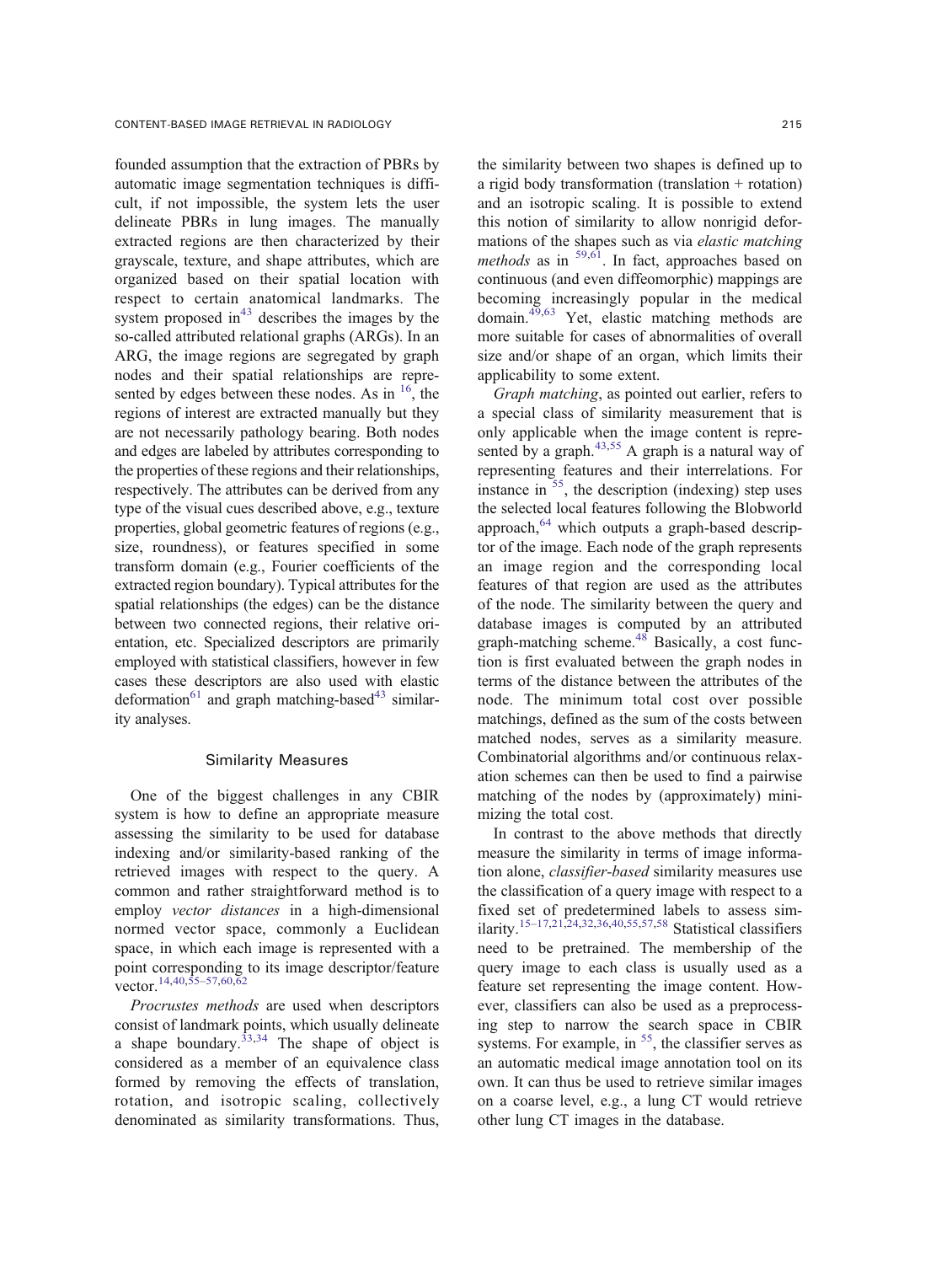founded assumption that the extraction of PBRs by automatic image segmentation techniques is difficult, if not impossible, the system lets the user delineate PBRs in lung images. The manually extracted regions are then characterized by their grayscale, texture, and shape attributes, which are organized based on their spatial location with respect to certain anatomical landmarks. The system proposed in  $43$  describes the images by the so-called attributed relational graphs (ARGs). In an ARG, the image regions are segregated by graph nodes and their spatial relationships are represented by edges between these nodes. As in  $^{16}$ , the regions of interest are extracted manually but they are not necessarily pathology bearing. Both nodes and edges are labeled by attributes corresponding to the properties of these regions and their relationships, respectively. The attributes can be derived from any type of the visual cues described above, e.g., texture properties, global geometric features of regions (e.g., size, roundness), or features specified in some transform domain (e.g., Fourier coefficients of the extracted region boundary). Typical attributes for the spatial relationships (the edges) can be the distance between two connected regions, their relative orientation, etc. Specialized descriptors are primarily employed with statistical classifiers, however in few cases these descriptors are also used with elastic deformation<sup>[61](#page-13-0)</sup> and graph matching-based<sup>43</sup> similarity analyses.

#### Similarity Measures

One of the biggest challenges in any CBIR system is how to define an appropriate measure assessing the similarity to be used for database indexing and/or similarity-based ranking of the retrieved images with respect to the query. A common and rather straightforward method is to employ vector distances in a high-dimensional normed vector space, commonly a Euclidean space, in which each image is represented with a point corresponding to its image descriptor/feature vector.  $14,40,55-57,60,62$  $14,40,55-57,60,62$  $14,40,55-57,60,62$  $14,40,55-57,60,62$ 

Procrustes methods are used when descriptors consist of landmark points, which usually delineate a shape boundary.  $33,34$  The shape of object is considered as a member of an equivalence class formed by removing the effects of translation, rotation, and isotropic scaling, collectively denominated as similarity transformations. Thus, the similarity between two shapes is defined up to a rigid body transformation (translation + rotation) and an isotropic scaling. It is possible to extend this notion of similarity to allow nonrigid deformations of the shapes such as via elastic matching methods as in  $59,61$ . In fact, approaches based on continuous (and even diffeomorphic) mappings are becoming increasingly popular in the medical domain.[49](#page-13-0)[,63](#page-14-0) Yet, elastic matching methods are more suitable for cases of abnormalities of overall size and/or shape of an organ, which limits their applicability to some extent.

Graph matching, as pointed out earlier, refers to a special class of similarity measurement that is only applicable when the image content is repre-sented by a graph.<sup>[43,55](#page-13-0)</sup> A graph is a natural way of representing features and their interrelations. For instance in  $\frac{55}{3}$  $\frac{55}{3}$  $\frac{55}{3}$ , the description (indexing) step uses the selected local features following the Blobworld approach, $^{64}$  $^{64}$  $^{64}$  which outputs a graph-based descriptor of the image. Each node of the graph represents an image region and the corresponding local features of that region are used as the attributes of the node. The similarity between the query and database images is computed by an attributed graph-matching scheme.<sup>[48](#page-13-0)</sup> Basically, a cost function is first evaluated between the graph nodes in terms of the distance between the attributes of the node. The minimum total cost over possible matchings, defined as the sum of the costs between matched nodes, serves as a similarity measure. Combinatorial algorithms and/or continuous relaxation schemes can then be used to find a pairwise matching of the nodes by (approximately) minimizing the total cost.

In contrast to the above methods that directly measure the similarity in terms of image information alone, classifier-based similarity measures use the classification of a query image with respect to a fixed set of predetermined labels to assess similarity.[15](#page-12-0)–[17,21,24](#page-12-0)[,32,36,40,55,57,58](#page-13-0) Statistical classifiers need to be pretrained. The membership of the query image to each class is usually used as a feature set representing the image content. However, classifiers can also be used as a preprocessing step to narrow the search space in CBIR systems. For example, in  $55$ , the classifier serves as an automatic medical image annotation tool on its own. It can thus be used to retrieve similar images on a coarse level, e.g., a lung CT would retrieve other lung CT images in the database.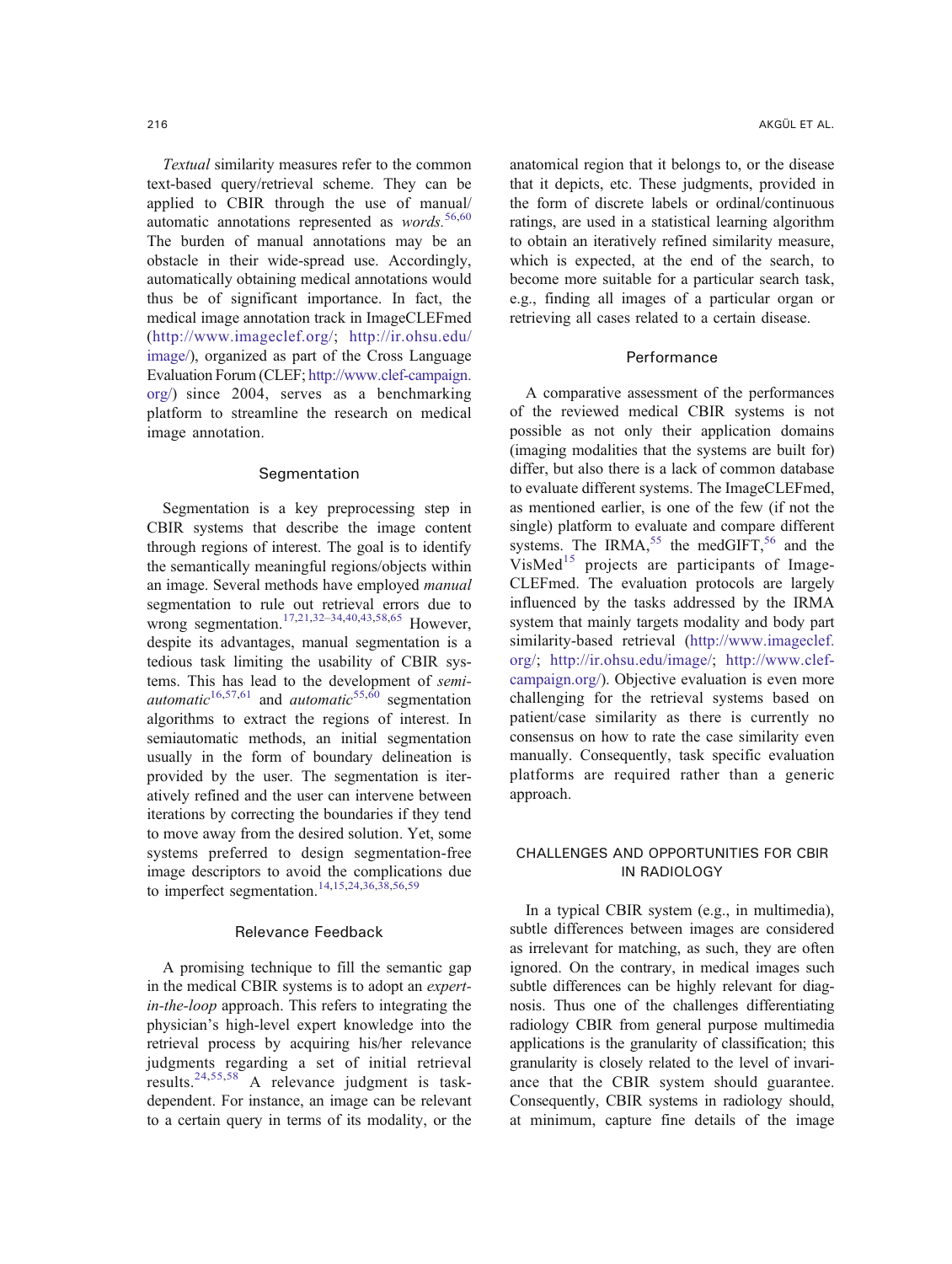<span id="page-8-0"></span>Textual similarity measures refer to the common text-based query/retrieval scheme. They can be applied to CBIR through the use of manual/ automatic annotations represented as  $words.<sup>56,60</sup>$  $words.<sup>56,60</sup>$  $words.<sup>56,60</sup>$ The burden of manual annotations may be an obstacle in their wide-spread use. Accordingly, automatically obtaining medical annotations would thus be of significant importance. In fact, the medical image annotation track in ImageCLEFmed [\(http://www.imageclef.org/;](http://www.imageclef.org) [http://ir.ohsu.edu/](http://ir.ohsu.edu/image/) [image/\)](http://ir.ohsu.edu/image/), organized as part of the Cross Language Evaluation Forum (CLEF; [http://www.clef-campaign.](http://www.clef-campaign.org/) [org/\)](http://www.clef-campaign.org/) since 2004, serves as a benchmarking platform to streamline the research on medical image annotation.

#### **Segmentation**

Segmentation is a key preprocessing step in CBIR systems that describe the image content through regions of interest. The goal is to identify the semantically meaningful regions/objects within an image. Several methods have employed manual segmentation to rule out retrieval errors due to wrong segmentation.<sup>[17,21,](#page-12-0)[32](#page-13-0)–[34,40,43](#page-13-0),[58](#page-13-0)[,65](#page-14-0)</sup> However, despite its advantages, manual segmentation is a tedious task limiting the usability of CBIR systems. This has lead to the development of semi-automatic<sup>[16,](#page-12-0)[57,61](#page-13-0)</sup> and *automatic*<sup>[55,60](#page-13-0)</sup> segmentation algorithms to extract the regions of interest. In semiautomatic methods, an initial segmentation usually in the form of boundary delineation is provided by the user. The segmentation is iteratively refined and the user can intervene between iterations by correcting the boundaries if they tend to move away from the desired solution. Yet, some systems preferred to design segmentation-free image descriptors to avoid the complications due to imperfect segmentation.<sup>[14,15,24](#page-12-0)[,36,38,56,59](#page-13-0)</sup>

## Relevance Feedback

A promising technique to fill the semantic gap in the medical CBIR systems is to adopt an expertin-the-loop approach. This refers to integrating the physician's high-level expert knowledge into the retrieval process by acquiring his/her relevance judgments regarding a set of initial retrieval results.[24,](#page-12-0)[55,58](#page-13-0) A relevance judgment is taskdependent. For instance, an image can be relevant to a certain query in terms of its modality, or the

anatomical region that it belongs to, or the disease that it depicts, etc. These judgments, provided in the form of discrete labels or ordinal/continuous ratings, are used in a statistical learning algorithm to obtain an iteratively refined similarity measure, which is expected, at the end of the search, to become more suitable for a particular search task, e.g., finding all images of a particular organ or retrieving all cases related to a certain disease.

## **Performance**

A comparative assessment of the performances of the reviewed medical CBIR systems is not possible as not only their application domains (imaging modalities that the systems are built for) differ, but also there is a lack of common database to evaluate different systems. The ImageCLEFmed, as mentioned earlier, is one of the few (if not the single) platform to evaluate and compare different systems. The IRMA,  $55$  the medGIFT,  $56$  and the  $VisMed<sup>15</sup>$  $VisMed<sup>15</sup>$  $VisMed<sup>15</sup>$  projects are participants of Image-CLEFmed. The evaluation protocols are largely influenced by the tasks addressed by the IRMA system that mainly targets modality and body part similarity-based retrieval ([http://www.imageclef.](http://www.imageclef.org/) [org/;](http://www.imageclef.org/) [http://ir.ohsu.edu/image/;](http://ir.ohsu.edu/image/) [http://www.clef](http://www.clef-campaign.org/)[campaign.org/\)](http://www.clef-campaign.org/). Objective evaluation is even more challenging for the retrieval systems based on patient/case similarity as there is currently no consensus on how to rate the case similarity even manually. Consequently, task specific evaluation platforms are required rather than a generic approach.

## CHALLENGES AND OPPORTUNITIES FOR CBIR IN RADIOLOGY

In a typical CBIR system (e.g., in multimedia), subtle differences between images are considered as irrelevant for matching, as such, they are often ignored. On the contrary, in medical images such subtle differences can be highly relevant for diagnosis. Thus one of the challenges differentiating radiology CBIR from general purpose multimedia applications is the granularity of classification; this granularity is closely related to the level of invariance that the CBIR system should guarantee. Consequently, CBIR systems in radiology should, at minimum, capture fine details of the image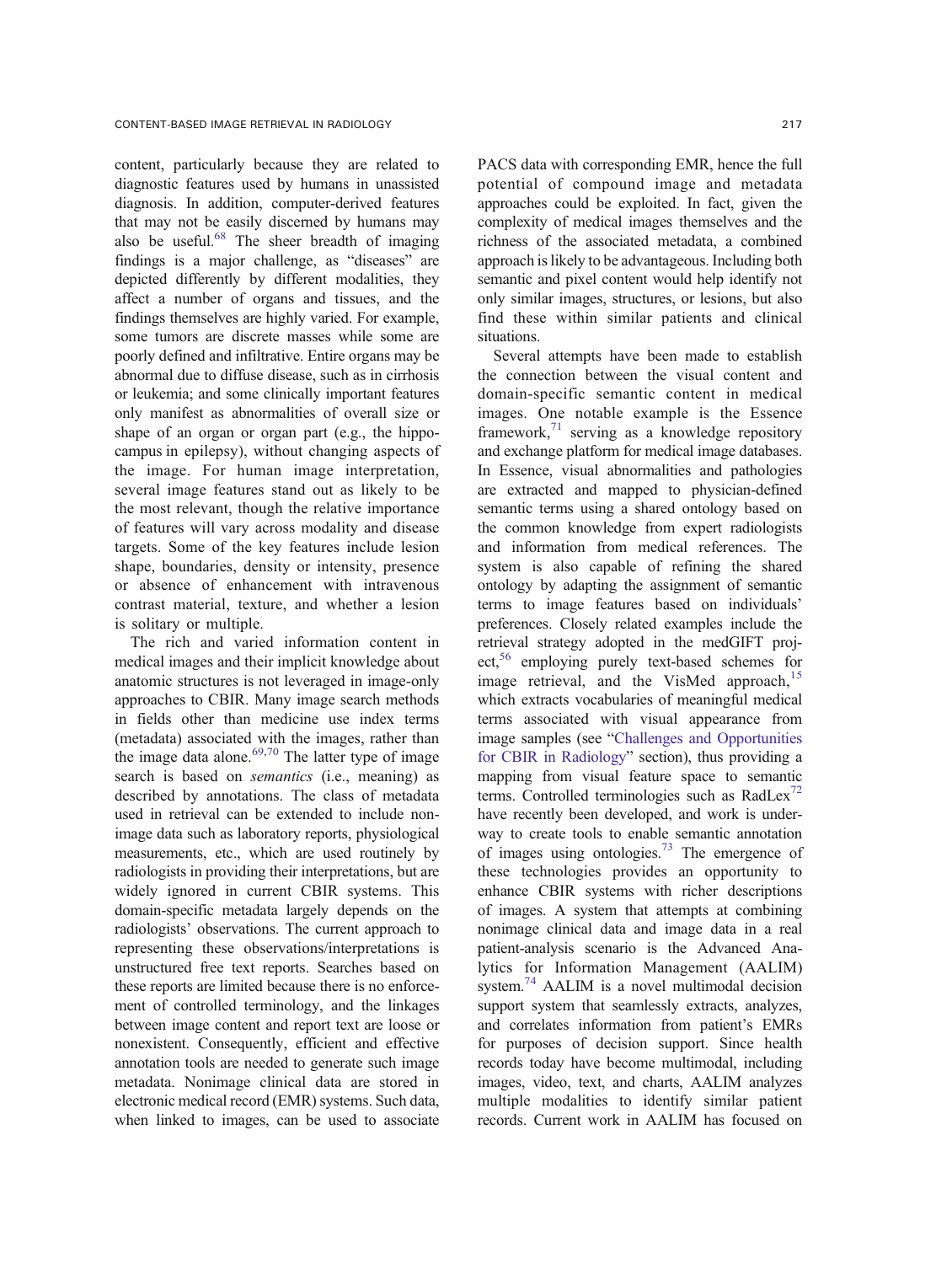content, particularly because they are related to diagnostic features used by humans in unassisted diagnosis. In addition, computer-derived features that may not be easily discerned by humans may also be useful. $68$  The sheer breadth of imaging findings is a major challenge, as "diseases" are depicted differently by different modalities, they affect a number of organs and tissues, and the findings themselves are highly varied. For example, some tumors are discrete masses while some are poorly defined and infiltrative. Entire organs may be abnormal due to diffuse disease, such as in cirrhosis or leukemia; and some clinically important features only manifest as abnormalities of overall size or shape of an organ or organ part (e.g., the hippocampus in epilepsy), without changing aspects of the image. For human image interpretation, several image features stand out as likely to be the most relevant, though the relative importance of features will vary across modality and disease targets. Some of the key features include lesion shape, boundaries, density or intensity, presence or absence of enhancement with intravenous contrast material, texture, and whether a lesion is solitary or multiple.

The rich and varied information content in medical images and their implicit knowledge about anatomic structures is not leveraged in image-only approaches to CBIR. Many image search methods in fields other than medicine use index terms (metadata) associated with the images, rather than the image data alone. $69,70$  The latter type of image search is based on semantics (i.e., meaning) as described by annotations. The class of metadata used in retrieval can be extended to include nonimage data such as laboratory reports, physiological measurements, etc., which are used routinely by radiologists in providing their interpretations, but are widely ignored in current CBIR systems. This domain-specific metadata largely depends on the radiologists' observations. The current approach to representing these observations/interpretations is unstructured free text reports. Searches based on these reports are limited because there is no enforcement of controlled terminology, and the linkages between image content and report text are loose or nonexistent. Consequently, efficient and effective annotation tools are needed to generate such image metadata. Nonimage clinical data are stored in electronic medical record (EMR) systems. Such data, when linked to images, can be used to associate

PACS data with corresponding EMR, hence the full potential of compound image and metadata approaches could be exploited. In fact, given the complexity of medical images themselves and the richness of the associated metadata, a combined approach is likely to be advantageous. Including both semantic and pixel content would help identify not only similar images, structures, or lesions, but also find these within similar patients and clinical situations.

Several attempts have been made to establish the connection between the visual content and domain-specific semantic content in medical images. One notable example is the Essence framework, $^{71}$  $^{71}$  $^{71}$  serving as a knowledge repository and exchange platform for medical image databases. In Essence, visual abnormalities and pathologies are extracted and mapped to physician-defined semantic terms using a shared ontology based on the common knowledge from expert radiologists and information from medical references. The system is also capable of refining the shared ontology by adapting the assignment of semantic terms to image features based on individuals' preferences. Closely related examples include the retrieval strategy adopted in the medGIFT project,<sup>56</sup> employing purely text-based schemes for image retrieval, and the VisMed approach, $15$ which extracts vocabularies of meaningful medical terms associated with visual appearance from image samples (see "[Challenges and Opportunities](#page-8-0) [for CBIR in Radiology](#page-8-0)" section), thus providing a mapping from visual feature space to semantic terms. Controlled terminologies such as  $RadLex<sup>72</sup>$  $RadLex<sup>72</sup>$  $RadLex<sup>72</sup>$ have recently been developed, and work is underway to create tools to enable semantic annotation of images using ontologies.<sup>73</sup> The emergence of these technologies provides an opportunity to enhance CBIR systems with richer descriptions of images. A system that attempts at combining nonimage clinical data and image data in a real patient-analysis scenario is the Advanced Analytics for Information Management (AALIM) system[.74](#page-14-0) AALIM is a novel multimodal decision support system that seamlessly extracts, analyzes, and correlates information from patient's EMRs for purposes of decision support. Since health records today have become multimodal, including images, video, text, and charts, AALIM analyzes multiple modalities to identify similar patient records. Current work in AALIM has focused on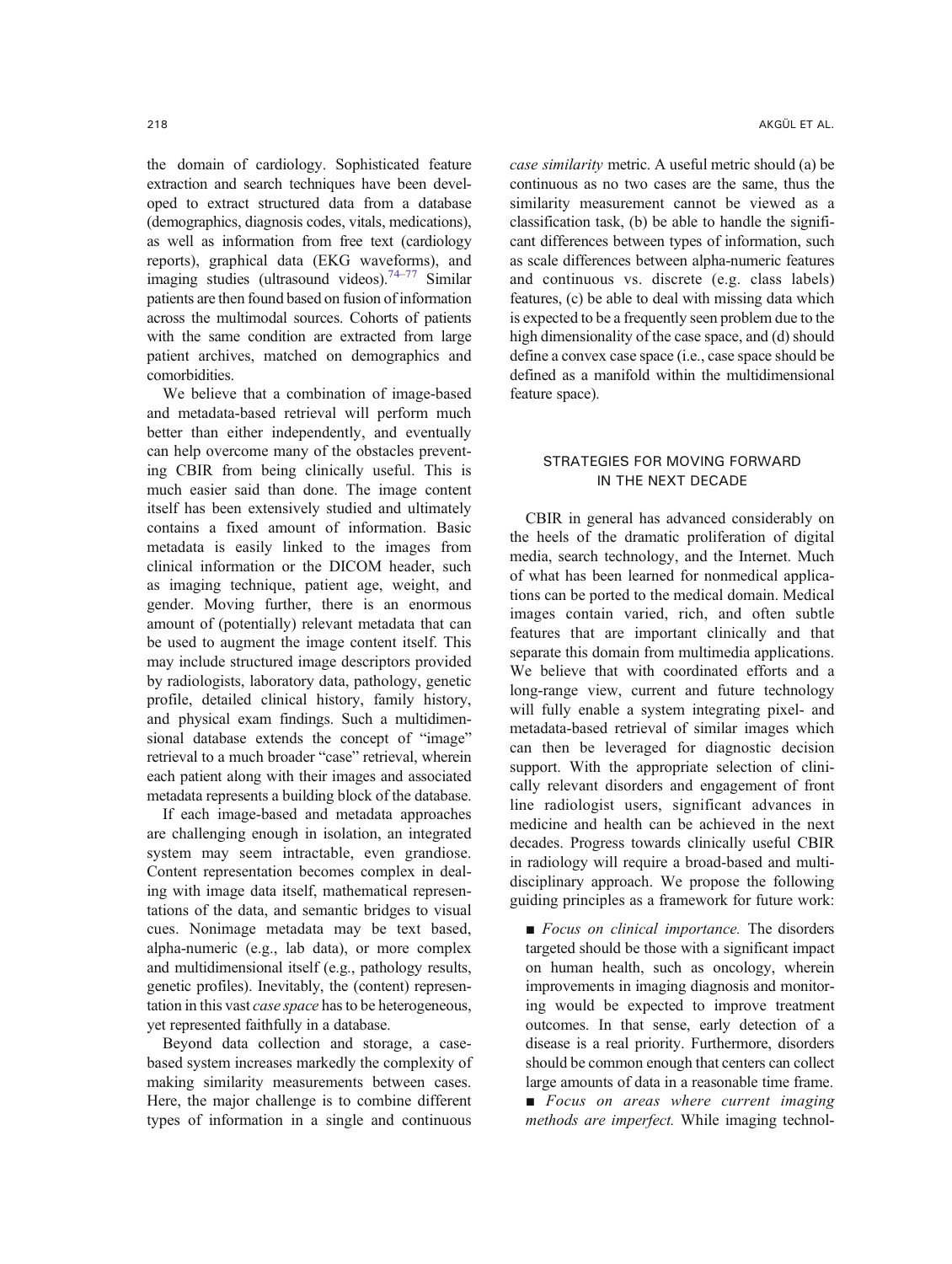<span id="page-10-0"></span>the domain of cardiology. Sophisticated feature extraction and search techniques have been developed to extract structured data from a database (demographics, diagnosis codes, vitals, medications), as well as information from free text (cardiology reports), graphical data (EKG waveforms), and imaging studies (ultrasound videos).<sup>[74](#page-14-0)–[77](#page-14-0)</sup> Similar patients are then found based on fusion of information across the multimodal sources. Cohorts of patients with the same condition are extracted from large patient archives, matched on demographics and comorbidities.

We believe that a combination of image-based and metadata-based retrieval will perform much better than either independently, and eventually can help overcome many of the obstacles preventing CBIR from being clinically useful. This is much easier said than done. The image content itself has been extensively studied and ultimately contains a fixed amount of information. Basic metadata is easily linked to the images from clinical information or the DICOM header, such as imaging technique, patient age, weight, and gender. Moving further, there is an enormous amount of (potentially) relevant metadata that can be used to augment the image content itself. This may include structured image descriptors provided by radiologists, laboratory data, pathology, genetic profile, detailed clinical history, family history, and physical exam findings. Such a multidimensional database extends the concept of "image" retrieval to a much broader "case" retrieval, wherein each patient along with their images and associated metadata represents a building block of the database.

If each image-based and metadata approaches are challenging enough in isolation, an integrated system may seem intractable, even grandiose. Content representation becomes complex in dealing with image data itself, mathematical representations of the data, and semantic bridges to visual cues. Nonimage metadata may be text based, alpha-numeric (e.g., lab data), or more complex and multidimensional itself (e.g., pathology results, genetic profiles). Inevitably, the (content) representation in this vast case space has to be heterogeneous, yet represented faithfully in a database.

Beyond data collection and storage, a casebased system increases markedly the complexity of making similarity measurements between cases. Here, the major challenge is to combine different types of information in a single and continuous

case similarity metric. A useful metric should (a) be continuous as no two cases are the same, thus the similarity measurement cannot be viewed as a classification task, (b) be able to handle the significant differences between types of information, such as scale differences between alpha-numeric features and continuous vs. discrete (e.g. class labels) features, (c) be able to deal with missing data which is expected to be a frequently seen problem due to the high dimensionality of the case space, and (d) should define a convex case space (i.e., case space should be defined as a manifold within the multidimensional feature space).

## STRATEGIES FOR MOVING FORWARD IN THE NEXT DECADE

CBIR in general has advanced considerably on the heels of the dramatic proliferation of digital media, search technology, and the Internet. Much of what has been learned for nonmedical applications can be ported to the medical domain. Medical images contain varied, rich, and often subtle features that are important clinically and that separate this domain from multimedia applications. We believe that with coordinated efforts and a long-range view, current and future technology will fully enable a system integrating pixel- and metadata-based retrieval of similar images which can then be leveraged for diagnostic decision support. With the appropriate selection of clinically relevant disorders and engagement of front line radiologist users, significant advances in medicine and health can be achieved in the next decades. Progress towards clinically useful CBIR in radiology will require a broad-based and multidisciplinary approach. We propose the following guiding principles as a framework for future work:

■ Focus on clinical importance. The disorders targeted should be those with a significant impact on human health, such as oncology, wherein improvements in imaging diagnosis and monitoring would be expected to improve treatment outcomes. In that sense, early detection of a disease is a real priority. Furthermore, disorders should be common enough that centers can collect large amounts of data in a reasonable time frame. ■ Focus on areas where current imaging

methods are imperfect. While imaging technol-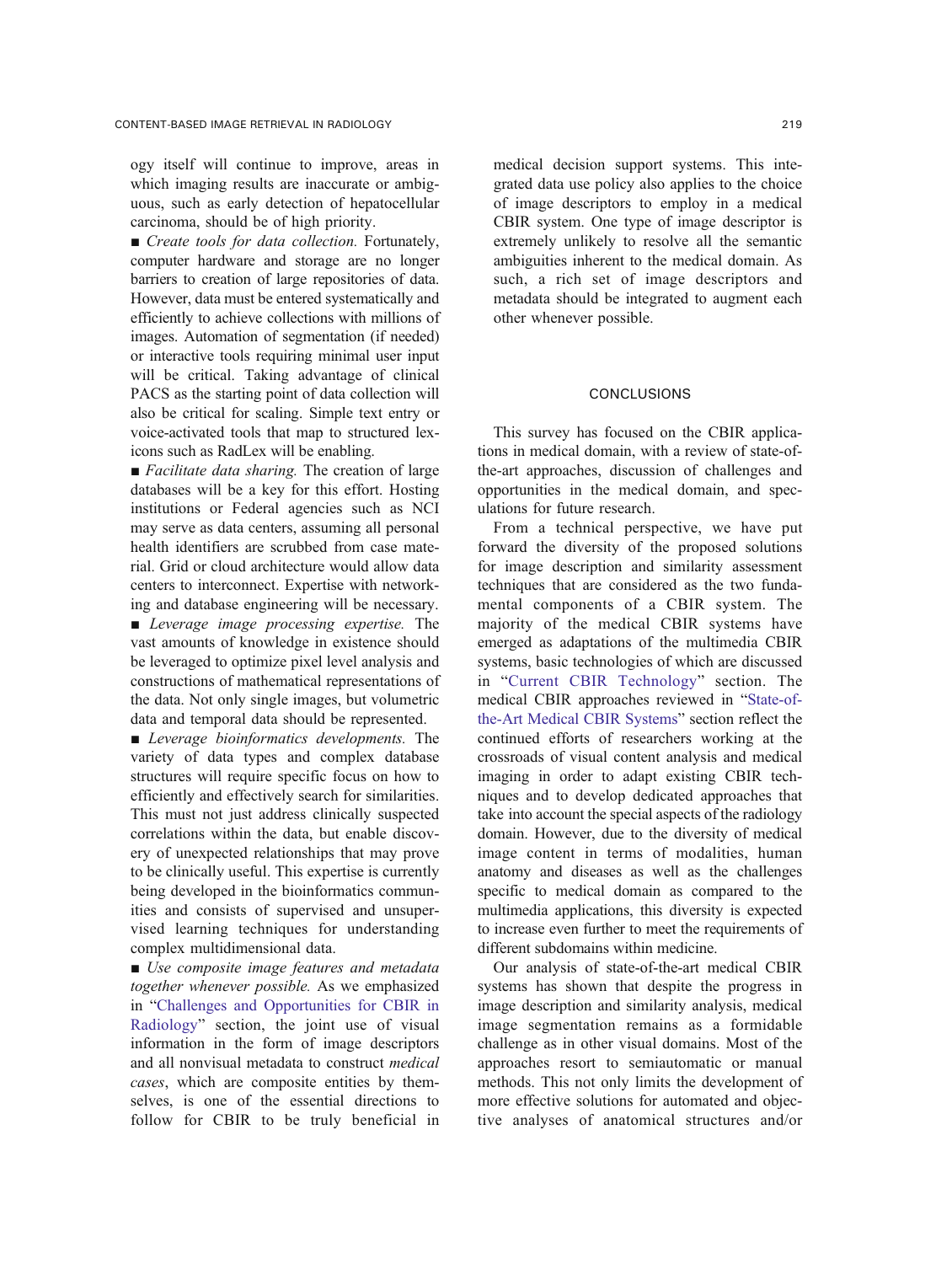<span id="page-11-0"></span>ogy itself will continue to improve, areas in which imaging results are inaccurate or ambiguous, such as early detection of hepatocellular carcinoma, should be of high priority.

■ *Create tools for data collection*. Fortunately, computer hardware and storage are no longer barriers to creation of large repositories of data. However, data must be entered systematically and efficiently to achieve collections with millions of images. Automation of segmentation (if needed) or interactive tools requiring minimal user input will be critical. Taking advantage of clinical PACS as the starting point of data collection will also be critical for scaling. Simple text entry or voice-activated tools that map to structured lexicons such as RadLex will be enabling.

■ *Facilitate data sharing*. The creation of large databases will be a key for this effort. Hosting institutions or Federal agencies such as NCI may serve as data centers, assuming all personal health identifiers are scrubbed from case material. Grid or cloud architecture would allow data centers to interconnect. Expertise with networking and database engineering will be necessary. ■ Leverage image processing expertise. The vast amounts of knowledge in existence should be leveraged to optimize pixel level analysis and

constructions of mathematical representations of the data. Not only single images, but volumetric data and temporal data should be represented.

■ Leverage bioinformatics developments. The variety of data types and complex database structures will require specific focus on how to efficiently and effectively search for similarities. This must not just address clinically suspected correlations within the data, but enable discovery of unexpected relationships that may prove to be clinically useful. This expertise is currently being developed in the bioinformatics communities and consists of supervised and unsupervised learning techniques for understanding complex multidimensional data.

■ Use composite image features and metadata together whenever possible. As we emphasized in "[Challenges and Opportunities for CBIR in](#page-8-0) [Radiology](#page-8-0)" section, the joint use of visual information in the form of image descriptors and all nonvisual metadata to construct medical cases, which are composite entities by themselves, is one of the essential directions to follow for CBIR to be truly beneficial in medical decision support systems. This integrated data use policy also applies to the choice of image descriptors to employ in a medical CBIR system. One type of image descriptor is extremely unlikely to resolve all the semantic ambiguities inherent to the medical domain. As such, a rich set of image descriptors and metadata should be integrated to augment each other whenever possible.

## CONCLUSIONS

This survey has focused on the CBIR applications in medical domain, with a review of state-ofthe-art approaches, discussion of challenges and opportunities in the medical domain, and speculations for future research.

From a technical perspective, we have put forward the diversity of the proposed solutions for image description and similarity assessment techniques that are considered as the two fundamental components of a CBIR system. The majority of the medical CBIR systems have emerged as adaptations of the multimedia CBIR systems, basic technologies of which are discussed in "[Current CBIR Technology](#page-1-0)" section. The medical CBIR approaches reviewed in "[State-of](#page-5-0)[the-Art Medical CBIR Systems](#page-5-0)" section reflect the continued efforts of researchers working at the crossroads of visual content analysis and medical imaging in order to adapt existing CBIR techniques and to develop dedicated approaches that take into account the special aspects of the radiology domain. However, due to the diversity of medical image content in terms of modalities, human anatomy and diseases as well as the challenges specific to medical domain as compared to the multimedia applications, this diversity is expected to increase even further to meet the requirements of different subdomains within medicine.

Our analysis of state-of-the-art medical CBIR systems has shown that despite the progress in image description and similarity analysis, medical image segmentation remains as a formidable challenge as in other visual domains. Most of the approaches resort to semiautomatic or manual methods. This not only limits the development of more effective solutions for automated and objective analyses of anatomical structures and/or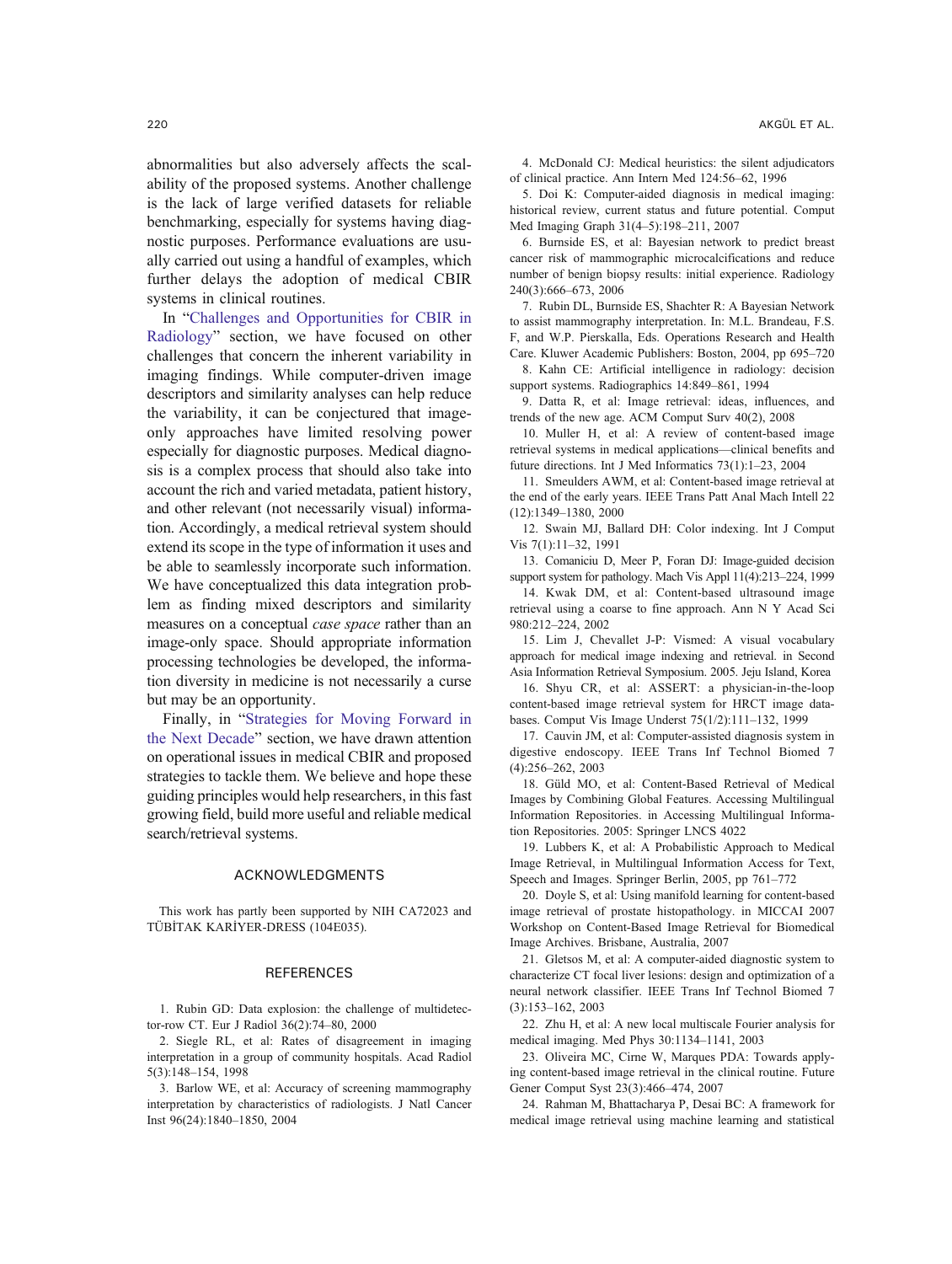<span id="page-12-0"></span>abnormalities but also adversely affects the scalability of the proposed systems. Another challenge is the lack of large verified datasets for reliable benchmarking, especially for systems having diagnostic purposes. Performance evaluations are usually carried out using a handful of examples, which further delays the adoption of medical CBIR systems in clinical routines.

In "[Challenges and Opportunities for CBIR in](#page-8-0) [Radiology](#page-8-0)" section, we have focused on other challenges that concern the inherent variability in imaging findings. While computer-driven image descriptors and similarity analyses can help reduce the variability, it can be conjectured that imageonly approaches have limited resolving power especially for diagnostic purposes. Medical diagnosis is a complex process that should also take into account the rich and varied metadata, patient history, and other relevant (not necessarily visual) information. Accordingly, a medical retrieval system should extend its scope in the type of information it uses and be able to seamlessly incorporate such information. We have conceptualized this data integration problem as finding mixed descriptors and similarity measures on a conceptual *case space* rather than an image-only space. Should appropriate information processing technologies be developed, the information diversity in medicine is not necessarily a curse but may be an opportunity.

Finally, in "[Strategies for Moving Forward in](#page-10-0) [the Next Decade](#page-10-0)" section, we have drawn attention on operational issues in medical CBIR and proposed strategies to tackle them. We believe and hope these guiding principles would help researchers, in this fast growing field, build more useful and reliable medical search/retrieval systems.

#### ACKNOWLEDGMENTS

This work has partly been supported by NIH CA72023 and TÜBİTAK KARİYER-DRESS (104E035).

#### **REFERENCES**

1. Rubin GD: Data explosion: the challenge of multidetector-row CT. Eur J Radiol 36(2):74–80, 2000

2. Siegle RL, et al: Rates of disagreement in imaging interpretation in a group of community hospitals. Acad Radiol 5(3):148–154, 1998

3. Barlow WE, et al: Accuracy of screening mammography interpretation by characteristics of radiologists. J Natl Cancer Inst 96(24):1840–1850, 2004

4. McDonald CJ: Medical heuristics: the silent adjudicators of clinical practice. Ann Intern Med 124:56–62, 1996

5. Doi K: Computer-aided diagnosis in medical imaging: historical review, current status and future potential. Comput Med Imaging Graph 31(4–5):198–211, 2007

6. Burnside ES, et al: Bayesian network to predict breast cancer risk of mammographic microcalcifications and reduce number of benign biopsy results: initial experience. Radiology 240(3):666–673, 2006

7. Rubin DL, Burnside ES, Shachter R: A Bayesian Network to assist mammography interpretation. In: M.L. Brandeau, F.S. F, and W.P. Pierskalla, Eds. Operations Research and Health Care. Kluwer Academic Publishers: Boston, 2004, pp 695–720

8. Kahn CE: Artificial intelligence in radiology: decision support systems. Radiographics 14:849–861, 1994

9. Datta R, et al: Image retrieval: ideas, influences, and trends of the new age. ACM Comput Surv 40(2), 2008

10. Muller H, et al: A review of content-based image retrieval systems in medical applications—clinical benefits and future directions. Int J Med Informatics 73(1):1–23, 2004

11. Smeulders AWM, et al: Content-based image retrieval at the end of the early years. IEEE Trans Patt Anal Mach Intell 22 (12):1349–1380, 2000

12. Swain MJ, Ballard DH: Color indexing. Int J Comput Vis 7(1):11–32, 1991

13. Comaniciu D, Meer P, Foran DJ: Image-guided decision support system for pathology. Mach Vis Appl 11(4):213–224, 1999

14. Kwak DM, et al: Content-based ultrasound image retrieval using a coarse to fine approach. Ann N Y Acad Sci 980:212–224, 2002

15. Lim J, Chevallet J-P: Vismed: A visual vocabulary approach for medical image indexing and retrieval. in Second Asia Information Retrieval Symposium. 2005. Jeju Island, Korea

16. Shyu CR, et al: ASSERT: a physician-in-the-loop content-based image retrieval system for HRCT image databases. Comput Vis Image Underst 75(1/2):111–132, 1999

17. Cauvin JM, et al: Computer-assisted diagnosis system in digestive endoscopy. IEEE Trans Inf Technol Biomed 7 (4):256–262, 2003

18. Güld MO, et al: Content-Based Retrieval of Medical Images by Combining Global Features. Accessing Multilingual Information Repositories. in Accessing Multilingual Information Repositories. 2005: Springer LNCS 4022

19. Lubbers K, et al: A Probabilistic Approach to Medical Image Retrieval, in Multilingual Information Access for Text, Speech and Images. Springer Berlin, 2005, pp 761–772

20. Doyle S, et al: Using manifold learning for content-based image retrieval of prostate histopathology. in MICCAI 2007 Workshop on Content-Based Image Retrieval for Biomedical Image Archives. Brisbane, Australia, 2007

21. Gletsos M, et al: A computer-aided diagnostic system to characterize CT focal liver lesions: design and optimization of a neural network classifier. IEEE Trans Inf Technol Biomed 7 (3):153–162, 2003

22. Zhu H, et al: A new local multiscale Fourier analysis for medical imaging. Med Phys 30:1134–1141, 2003

23. Oliveira MC, Cirne W, Marques PDA: Towards applying content-based image retrieval in the clinical routine. Future Gener Comput Syst 23(3):466–474, 2007

24. Rahman M, Bhattacharya P, Desai BC: A framework for medical image retrieval using machine learning and statistical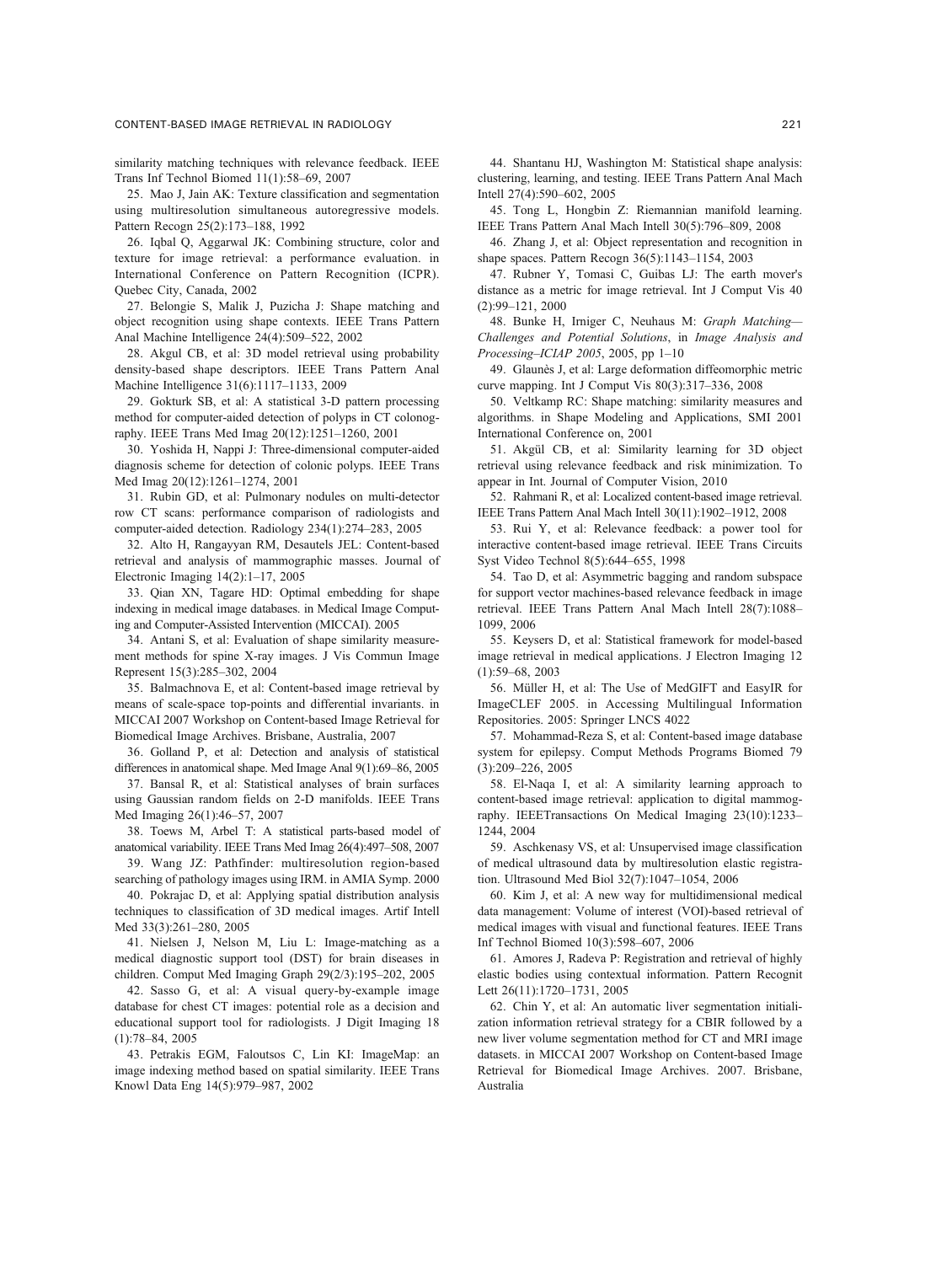#### <span id="page-13-0"></span>CONTENT-BASED IMAGE RETRIEVAL IN RADIOLOGY 221

similarity matching techniques with relevance feedback. IEEE Trans Inf Technol Biomed 11(1):58–69, 2007

25. Mao J, Jain AK: Texture classification and segmentation using multiresolution simultaneous autoregressive models. Pattern Recogn 25(2):173–188, 1992

26. Iqbal Q, Aggarwal JK: Combining structure, color and texture for image retrieval: a performance evaluation. in International Conference on Pattern Recognition (ICPR). Quebec City, Canada, 2002

27. Belongie S, Malik J, Puzicha J: Shape matching and object recognition using shape contexts. IEEE Trans Pattern Anal Machine Intelligence 24(4):509–522, 2002

28. Akgul CB, et al: 3D model retrieval using probability density-based shape descriptors. IEEE Trans Pattern Anal Machine Intelligence 31(6):1117–1133, 2009

29. Gokturk SB, et al: A statistical 3-D pattern processing method for computer-aided detection of polyps in CT colonography. IEEE Trans Med Imag 20(12):1251–1260, 2001

30. Yoshida H, Nappi J: Three-dimensional computer-aided diagnosis scheme for detection of colonic polyps. IEEE Trans Med Imag 20(12):1261–1274, 2001

31. Rubin GD, et al: Pulmonary nodules on multi-detector row CT scans: performance comparison of radiologists and computer-aided detection. Radiology 234(1):274–283, 2005

32. Alto H, Rangayyan RM, Desautels JEL: Content-based retrieval and analysis of mammographic masses. Journal of Electronic Imaging 14(2):1–17, 2005

33. Qian XN, Tagare HD: Optimal embedding for shape indexing in medical image databases. in Medical Image Computing and Computer-Assisted Intervention (MICCAI). 2005

34. Antani S, et al: Evaluation of shape similarity measurement methods for spine X-ray images. J Vis Commun Image Represent 15(3):285–302, 2004

35. Balmachnova E, et al: Content-based image retrieval by means of scale-space top-points and differential invariants. in MICCAI 2007 Workshop on Content-based Image Retrieval for Biomedical Image Archives. Brisbane, Australia, 2007

36. Golland P, et al: Detection and analysis of statistical differences in anatomical shape. Med Image Anal 9(1):69–86, 2005

37. Bansal R, et al: Statistical analyses of brain surfaces using Gaussian random fields on 2-D manifolds. IEEE Trans Med Imaging 26(1):46–57, 2007

38. Toews M, Arbel T: A statistical parts-based model of anatomical variability. IEEE Trans Med Imag 26(4):497–508, 2007

39. Wang JZ: Pathfinder: multiresolution region-based searching of pathology images using IRM. in AMIA Symp. 2000

40. Pokrajac D, et al: Applying spatial distribution analysis techniques to classification of 3D medical images. Artif Intell Med 33(3):261–280, 2005

41. Nielsen J, Nelson M, Liu L: Image-matching as a medical diagnostic support tool (DST) for brain diseases in children. Comput Med Imaging Graph 29(2/3):195–202, 2005

42. Sasso G, et al: A visual query-by-example image database for chest CT images: potential role as a decision and educational support tool for radiologists. J Digit Imaging 18 (1):78–84, 2005

43. Petrakis EGM, Faloutsos C, Lin KI: ImageMap: an image indexing method based on spatial similarity. IEEE Trans Knowl Data Eng 14(5):979–987, 2002

44. Shantanu HJ, Washington M: Statistical shape analysis: clustering, learning, and testing. IEEE Trans Pattern Anal Mach Intell 27(4):590–602, 2005

45. Tong L, Hongbin Z: Riemannian manifold learning. IEEE Trans Pattern Anal Mach Intell 30(5):796–809, 2008

46. Zhang J, et al: Object representation and recognition in shape spaces. Pattern Recogn 36(5):1143–1154, 2003

47. Rubner Y, Tomasi C, Guibas LJ: The earth mover's distance as a metric for image retrieval. Int J Comput Vis 40 (2):99–121, 2000

48. Bunke H, Irniger C, Neuhaus M: Graph Matching— Challenges and Potential Solutions, in Image Analysis and Processing–ICIAP 2005, 2005, pp 1–10

49. Glaunès J, et al: Large deformation diffeomorphic metric curve mapping. Int J Comput Vis 80(3):317–336, 2008

50. Veltkamp RC: Shape matching: similarity measures and algorithms. in Shape Modeling and Applications, SMI 2001 International Conference on, 2001

51. Akgül CB, et al: Similarity learning for 3D object retrieval using relevance feedback and risk minimization. To appear in Int. Journal of Computer Vision, 2010

52. Rahmani R, et al: Localized content-based image retrieval. IEEE Trans Pattern Anal Mach Intell 30(11):1902–1912, 2008

53. Rui Y, et al: Relevance feedback: a power tool for interactive content-based image retrieval. IEEE Trans Circuits Syst Video Technol 8(5):644–655, 1998

54. Tao D, et al: Asymmetric bagging and random subspace for support vector machines-based relevance feedback in image retrieval. IEEE Trans Pattern Anal Mach Intell 28(7):1088– 1099, 2006

55. Keysers D, et al: Statistical framework for model-based image retrieval in medical applications. J Electron Imaging 12 (1):59–68, 2003

56. Müller H, et al: The Use of MedGIFT and EasyIR for ImageCLEF 2005. in Accessing Multilingual Information Repositories. 2005: Springer LNCS 4022

57. Mohammad-Reza S, et al: Content-based image database system for epilepsy. Comput Methods Programs Biomed 79 (3):209–226, 2005

58. El-Naqa I, et al: A similarity learning approach to content-based image retrieval: application to digital mammography. IEEETransactions On Medical Imaging 23(10):1233– 1244, 2004

59. Aschkenasy VS, et al: Unsupervised image classification of medical ultrasound data by multiresolution elastic registration. Ultrasound Med Biol 32(7):1047–1054, 2006

60. Kim J, et al: A new way for multidimensional medical data management: Volume of interest (VOI)-based retrieval of medical images with visual and functional features. IEEE Trans Inf Technol Biomed 10(3):598–607, 2006

61. Amores J, Radeva P: Registration and retrieval of highly elastic bodies using contextual information. Pattern Recognit Lett 26(11):1720–1731, 2005

62. Chin Y, et al: An automatic liver segmentation initialization information retrieval strategy for a CBIR followed by a new liver volume segmentation method for CT and MRI image datasets. in MICCAI 2007 Workshop on Content-based Image Retrieval for Biomedical Image Archives. 2007. Brisbane, Australia